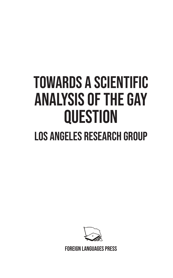# towards a scientific analysis of the gay **QUESTION** Los Angeles Research Group



Foreign Languages Press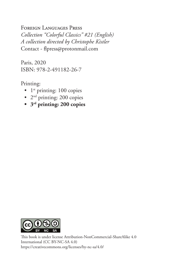#### Foreign Languages Press

*Collection "Colorful Classics" #21 (English) A collection directed by Christophe Kistler* Contact - flpress@protonmail.com

Paris, 2020 ISBN: 978-2-491182-26-7

Printing:

- $1<sup>st</sup>$  printing: 100 copies
- $2<sup>nd</sup>$  printing: 200 copies
- **3rd printing: 200 copies**



This book is under license Attribution-NonCommercial-ShareAlike 4.0 International (CC BY-NC-SA 4.0) https://creativecommons.org/licenses/by-nc-sa/4.0/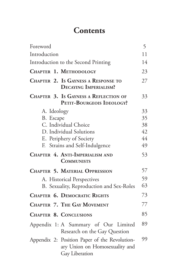# **Contents**

| Foreword                                                                                          | 5  |
|---------------------------------------------------------------------------------------------------|----|
| Introduction                                                                                      | 11 |
| Introduction to the Second Printing                                                               | 14 |
| CHAPTER 1. METHODOLOGY                                                                            | 23 |
| <b>CHAPTER 2. Is GAYNESS A RESPONSE TO</b><br><b>DECAYING IMPERIALISM?</b>                        | 27 |
| <b>CHAPTER 3. Is GAYNESS A REFLECTION OF</b><br>PETIT-BOURGEOIS IDEOLOGY?                         | 33 |
| A. Ideology                                                                                       | 33 |
| B. Escape                                                                                         | 35 |
| C. Individual Choice                                                                              | 38 |
| D. Individual Solutions                                                                           | 42 |
| E. Periphery of Society                                                                           | 44 |
| F. Strains and Self-Indulgence                                                                    | 49 |
| CHAPTER 4. ANTI-IMPERIALISM AND<br><b>COMMUNISTS</b>                                              | 53 |
| <b>CHAPTER 5. MATERIAL OPPRESSION</b>                                                             | 57 |
| A. Historical Perspectives                                                                        | 59 |
| B. Sexuality, Reproduction and Sex-Roles                                                          | 63 |
| <b>CHAPTER 6. DEMOCRATIC RIGHTS</b>                                                               | 73 |
| <b>CHAPTER 7. THE GAY MOVEMENT</b>                                                                | 77 |
| <b>CHAPTER 8. CONCLUSIONS</b>                                                                     | 85 |
| Appendix 1: A Summary of Our Limited<br>Research on the Gay Question                              | 89 |
| Appendix 2: Position Paper of the Revolution-<br>ary Union on Homosexuality and<br>Gay Liberation | 99 |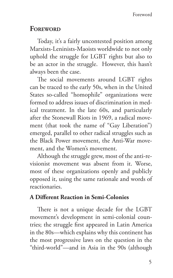## **FOREWORD**

Today, it's a fairly uncontested position among Marxists-Leninists-Maoists worldwide to not only uphold the struggle for LGBT rights but also to be an actor in the struggle. However, this hasn't always been the case.

The social movements around LGBT rights can be traced to the early 50s, when in the United States so-called "homophile" organizations were formed to address issues of discrimination in medical treatment. In the late 60s, and particularly after the Stonewall Riots in 1969, a radical movement (that took the name of "Gay Liberation") emerged, parallel to other radical struggles such as the Black Power movement, the Anti-War movement, and the Women's movement.

Although the struggle grew, most of the anti-revisionist movement was absent from it. Worse, most of these organizations openly and publicly opposed it, using the same rationale and words of reactionaries.

#### **A Different Reaction in Semi-Colonies**

There is not a unique decade for the LGBT movement's development in semi-colonial countries; the struggle first appeared in Latin America in the 80s—which explains why this continent has the most progressive laws on the question in the "third-world"—and in Asia in the 90s (although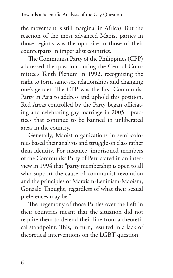the movement is still marginal in Africa). But the reaction of the most advanced Maoist parties in those regions was the opposite to those of their counterparts in imperialist countries.

The Communist Party of the Philippines (CPP) addressed the question during the Central Committee's Tenth Plenum in 1992, recognizing the right to form same-sex relationships and changing one's gender. The CPP was the first Communist Party in Asia to address and uphold this position. Red Areas controlled by the Party began officiating and celebrating gay marriage in 2005—practices that continue to be banned in unliberated areas in the country.

Generally, Maoist organizations in semi-colonies based their analysis and struggle on class rather than identity. For instance, imprisoned members of the Communist Party of Peru stated in an interview in 1994 that "party membership is open to all who support the cause of communist revolution and the principles of Marxism-Leninism-Maoism, Gonzalo Thought, regardless of what their sexual preferences may be."

The hegemony of those Parties over the Left in their countries meant that the situation did not require them to defend their line from a theoretical standpoint. This, in turn, resulted in a lack of theoretical interventions on the LGBT question.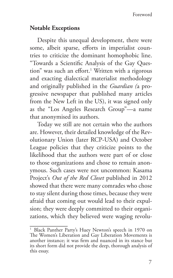#### **Notable Exceptions**

Despite this unequal development, there were some, albeit sparse, efforts in imperialist countries to criticize the dominant homophobic line. "Towards a Scientific Analysis of the Gay Question" was such an effort.<sup>1</sup> Written with a rigorous and exacting dialectical materialist methodology and originally published in the *Guardian (*a progressive newspaper that published many articles from the New Left in the US), it was signed only as the "Los Angeles Research Group"—a name that anonymised its authors.

Today we still are not certain who the authors are. However, their detailed knowledge of the Revolutionary Union (later RCP-USA) and October League policies that they criticize points to the likelihood that the authors were part of or close to those organizations and chose to remain anonymous. Such cases were not uncommon: Kasama Project's *Out of the Red Closet* published in 2012 showed that there were many comrades who chose to stay silent during those times, because they were afraid that coming out would lead to their expulsion; they were deeply committed to their organizations, which they believed were waging revolu-

<sup>&</sup>lt;sup>1</sup> Black Panther Party's Huey Newton's speech in 1970 on The Women's Liberation and Gay Liberation Movements is another instance; it was firm and nuanced in its stance but its short form did not provide the deep, thorough analysis of this essay.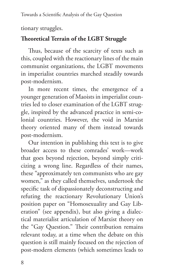tionary struggles.

## **Theoretical Terrain of the LGBT Struggle**

Thus, because of the scarcity of texts such as this, coupled with the reactionary lines of the main communist organizations, the LGBT movements in imperialist countries marched steadily towards post-modernism.

In more recent times, the emergence of a younger generation of Maoists in imperialist countries led to closer examination of the LGBT struggle, inspired by the advanced practice in semi-colonial countries. However, the void in Marxist theory oriented many of them instead towards post-modernism.

Our intention in publishing this text is to give broader access to these comrades' work—work that goes beyond rejection, beyond simply criticizing a wrong line. Regardless of their names, these "approximately ten communists who are gay women," as they called themselves, undertook the specific task of dispassionately deconstructing and refuting the reactionary Revolutionary Union's position paper on "Homosexuality and Gay Liberation" (see appendix), but also giving a dialectical materialist articulation of Marxist theory on the "Gay Question." Their contribution remains relevant today, at a time when the debate on this question is still mainly focused on the rejection of post-modern elements (which sometimes leads to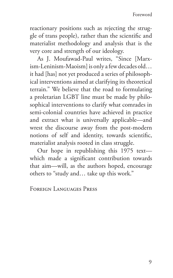reactionary positions such as rejecting the struggle of trans people), rather than the scientific and materialist methodology and analysis that is the very core and strength of our ideology.

As J. Moufawad-Paul writes, "Since [Marxism-Leninism-Maoism] is only a few decades old… it had [has] not yet produced a series of philosophical interventions aimed at clarifying its theoretical terrain." We believe that the road to formulating a proletarian LGBT line must be made by philosophical interventions to clarify what comrades in semi-colonial countries have achieved in practice and extract what is universally applicable—and wrest the discourse away from the post-modern notions of self and identity, towards scientific, materialist analysis rooted in class struggle.

Our hope in republishing this 1975 text which made a significant contribution towards that aim—will, as the authors hoped, encourage others to "study and… take up this work."

Foreign Languages Press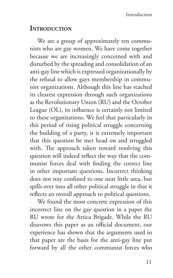## **Introduction**

We are a group of approximately ten communists who are gay women. We have come together because we are increasingly concerned with and disturbed by the spreading and consolidation of an anti-gay line which is expressed organizationally by the refusal to allow gays membership in communist organizations. Although this line has reached its clearest expression through such organizations as the Revolutionary Union (RU) and the October League (OL), its influence is certainly not limited to these organizations. We feel that particularly in this period of rising political struggle concerning the building of a party, it is extremely important that this question be met head on and struggled with. The approach taken toward resolving this question will indeed reflect the way that the communist forces deal with finding the correct line in other important questions. Incorrect thinking does not stay confined to one neat little area, but spills over into all other political struggle in that it reflects an overall approach to political questions.

We found the most concrete expression of this incorrect line on the gay question in a paper the RU wrote for the Attica Brigade. While the RU disavows this paper as an official document, our experience has shown that the arguments used in that paper are the basis for the anti-gay line put forward by all the other communist forces who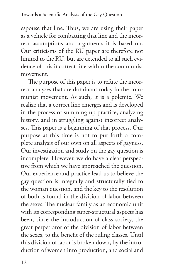espouse that line. Thus, we are using their paper as a vehicle for combatting that line and the incorrect assumptions and arguments it is based on. Our criticisms of the RU paper are therefore not limited to the RU, but are extended to all such evidence of this incorrect line within the communist movement.

The purpose of this paper is to refute the incorrect analyses that are dominant today in the communist movement. As such, it is a polemic. We realize that a correct line emerges and is developed in the process of summing up practice, analyzing history, and in struggling against incorrect analyses. This paper is a beginning of that process. Our purpose at this time is not to put forth a complete analysis of our own on all aspects of gayness. Our investigation and study on the gay question is incomplete. However, we do have a clear perspective from which we have approached the question. Our experience and practice lead us to believe the gay question is integrally and structurally tied to the woman question, and the key to the resolution of both is found in the division of labor between the sexes. The nuclear family as an economic unit with its corresponding super-structural aspects has been, since the introduction of class society, the great perpetrator of the division of labor between the sexes, to the benefit of the ruling classes. Until this division of labor is broken down, by the introduction of women into production, and social and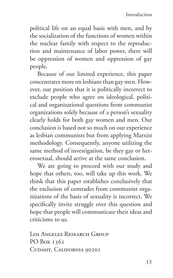political life on an equal basis with men, and by the socialization of the functions of women within the nuclear family with respect to the reproduction and maintenance of labor power, there will be oppression of women and oppression of gay people.

Because of our limited experience, this paper concentrates more on lesbians than gay men. However, our position that it is politically incorrect to exclude people who agree on ideological, political and organizational questions from communist organizations solely because of a person's sexuality clearly holds for both gay women and men. Our conclusion is based not so much on our experience as lesbian communists but from applying Marxist methodology. Consequently, anyone utilizing the same method of investigation, be they gay or heterosexual, should arrive at the same conclusion.

We are going to proceed with our study and hope that others, too, will take up this work. We think that this paper establishes conclusively that the exclusion of comrades from communist organizations of the basis of sexuality is incorrect. We specifically invite struggle over this question and hope that people will communicate their ideas and criticisms to us.

Los Angeles Research Group PO Box 1362 Cudahy, California 90201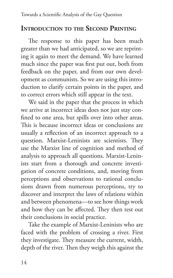## **Introduction to the Second Printing**

The response to this paper has been much greater than we had anticipated, so we are reprinting it again to meet the demand. We have learned much since the paper was first put out, both from feedback on the paper, and from our own development as communists. So we are using this introduction to clarify certain points in the paper, and to correct errors which still appear in the text.

We said in the paper that the process in which we arrive at incorrect ideas does not just stay confined to one area, but spills over into other areas. This is because incorrect ideas or conclusions are usually a reflection of an incorrect approach to a question. Marxist-Leninists are scientists. They use the Marxist line of cognition and method of analysis to approach all questions. Marxist-Leninists start from a thorough and concrete investigation of concrete conditions, and, moving from perceptions and observations to rational conclusions drawn from numerous perceptions, try to discover and interpret the laws of relations within and between phenomena—to see how things work and how they can be affected. They then test out their conclusions in social practice.

Take the example of Marxist-Leninists who are faced with the problem of crossing a river. First they investigate. They measure the current, width, depth of the river. Then they weigh this against the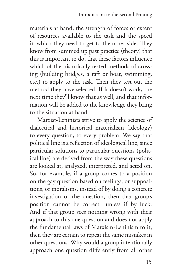materials at hand, the strength of forces or extent of resources available to the task and the speed in which they need to get to the other side. They know from summed up past practice (theory) that this is important to do, that these factors influence which of the historically tested methods of crossing (building bridges, a raft or boat, swimming, etc.) to apply to the task. Then they test out the method they have selected. If it doesn't work, the next time they'll know that as well, and that information will be added to the knowledge they bring to the situation at hand.

Marxist-Leninists strive to apply the science of dialectical and historical materialism (ideology) to every question, to every problem. We say that political line is a reflection of ideological line, since particular solutions to particular questions (political line) are derived from the way these questions are looked at, analyzed, interpreted, and acted on. So, for example, if a group comes to a position on the gay question based on feelings, or suppositions, or moralisms, instead of by doing a concrete investigation of the question, then that group's position cannot be correct—unless if by luck. And if that group sees nothing wrong with their approach to this one question and does not apply the fundamental laws of Marxism-Leninism to it, then they are certain to repeat the same mistakes in other questions. Why would a group intentionally approach one question differently from all other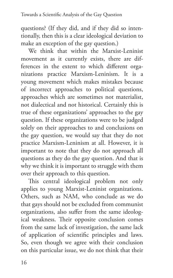questions? (If they did, and if they did so intentionally, then this is a clear ideological deviation to make an exception of the gay question.)

We think that within the Marxist-Leninist movement as it currently exists, there are differences in the extent to which different organizations practice Marxism-Leninism. It is a young movement which makes mistakes because of incorrect approaches to political questions, approaches which are sometimes not materialist, not dialectical and not historical. Certainly this is true of these organizations' approaches to the gay question. If these organizations were to be judged solely on their approaches to and conclusions on the gay question, we would say that they do not practice Marxism-Leninism at all. However, it is important to note that they do not approach all questions as they do the gay question. And that is why we think it is important to struggle with them over their approach to this question.

This central ideological problem not only applies to young Marxist-Leninist organizations. Others, such as NAM, who conclude as we do that gays should not be excluded from communist organizations, also suffer from the same ideological weakness. Their opposite conclusion comes from the same lack of investigation, the same lack of application of scientific principles and laws. So, even though we agree with their conclusion on this particular issue, we do not think that their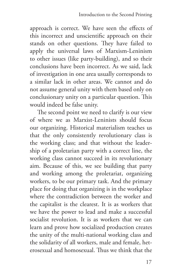approach is correct. We have seen the effects of this incorrect and unscientific approach on their stands on other questions. They have failed to apply the universal laws of Marxism-Leninism to other issues (like party-building), and so their conclusions have been incorrect. As we said, lack of investigation in one area usually corresponds to a similar lack in other areas. We cannot and do not assume general unity with them based only on conclusionary unity on a particular question. This would indeed be false unity.

The second point we need to clarify is our view of where we as Marxist-Leninists should focus our organizing. Historical materialism teaches us that the only consistently revolutionary class is the working class; and that without the leadership of a proletarian party with a correct line, the working class cannot succeed in its revolutionary aim. Because of this, we see building that party and working among the proletariat, organizing workers, to be our primary task. And the primary place for doing that organizing is in the workplace where the contradiction between the worker and the capitalist is the clearest. It is as workers that we have the power to lead and make a successful socialist revolution. It is as workers that we can learn and prove how socialized production creates the unity of the multi-national working class and the solidarity of all workers, male and female, heterosexual and homosexual. Thus we think that the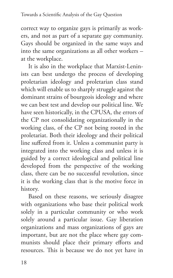correct way to organize gays is primarily as workers, and not as part of a separate gay community. Gays should be organized in the same ways and into the same organizations as all other workers – at the workplace.

It is also in the workplace that Marxist-Leninists can best undergo the process of developing proletarian ideology and proletarian class stand which will enable us to sharply struggle against the dominant strains of bourgeois ideology and where we can best test and develop our political line. We have seen historically, in the CPUSA, the errors of the CP not consolidating organizationally in the working class, of the CP not being rooted in the proletariat. Both their ideology and their political line suffered from it. Unless a communist party is integrated into the working class and unless it is guided by a correct ideological and political line developed from the perspective of the working class, there can be no successful revolution, since it is the working class that is the motive force in history.

Based on these reasons, we seriously disagree with organizations who base their political work solely in a particular community or who work solely around a particular issue. Gay liberation organizations and mass organizations of gays are important, but are not the place where gay communists should place their primary efforts and resources. This is because we do not yet have in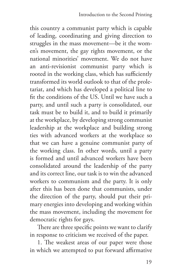this country a communist party which is capable of leading, coordinating and giving direction to struggles in the mass movement—be it the women's movement, the gay rights movement, or the national minorities' movement. We do not have an anti-revisionist communist party which is rooted in the working class, which has sufficiently transformed its world outlook to that of the proletariat, and which has developed a political line to fit the conditions of the US. Until we have such a party, and until such a party is consolidated, our task must be to build it, and to build it primarily at the workplace, by developing strong communist leadership at the workplace and building strong ties with advanced workers at the workplace so that we can have a genuine communist party of the working class. In other words, until a party is formed and until advanced workers have been consolidated around the leadership of the party and its correct line, our task is to win the advanced workers to communism and the party. It is only after this has been done that communists, under the direction of the party, should put their primary energies into developing and working within the mass movement, including the movement for democratic rights for gays.

There are three specific points we want to clarify in response to criticism we received of the paper.

1. The weakest areas of our paper were those in which we attempted to put forward affirmative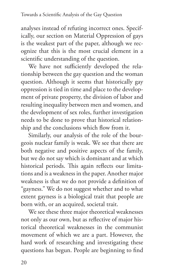analyses instead of refuting incorrect ones. Specifically, our section on Material Oppression of gays is the weakest part of the paper, although we recognize that this is the most crucial element in a scientific understanding of the question.

We have not sufficiently developed the relationship between the gay question and the woman question. Although it seems that historically gay oppression is tied in time and place to the development of private property, the division of labor and resulting inequality between men and women, and the development of sex roles, further investigation needs to be done to prove that historical relationship and the conclusions which flow from it.

Similarly, our analysis of the role of the bourgeois nuclear family is weak. We see that there are both negative and positive aspects of the family, but we do not say which is dominant and at which historical periods. This again reflects our limitations and is a weakness in the paper. Another major weakness is that we do not provide a definition of "gayness." We do not suggest whether and to what extent gayness is a biological trait that people are born with, or an acquired, societal trait.

We see these three major theoretical weaknesses not only as our own, but as reflective of major historical theoretical weaknesses in the communist movement of which we are a part. However, the hard work of researching and investigating these questions has begun. People are beginning to find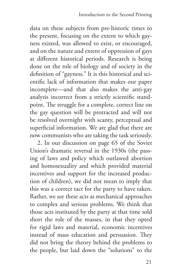data on these subjects from pre-historic times to the present, focusing on the extent to which gayness existed, was allowed to exist, or encouraged, and on the nature and extent of oppression of gays at different historical periods. Research is being done on the role of biology and of society in the definition of "gayness." It is this historical and scientific lack of information that makes our paper incomplete—and that also makes the anti-gay analysis incorrect from a strictly scientific standpoint. The struggle for a complete, correct line on the gay question will be protracted and will not be resolved overnight with scanty, perceptual and superficial information. We are glad that there are now communists who are taking the task seriously.

2. In our discussion on page 65 of the Soviet Union's dramatic reversal in the 1930s (the passing of laws and policy which outlawed abortion and homosexuality and which provided material incentives and support for the increased production of children), we did not mean to imply that this was a correct tact for the party to have taken. Rather, we see these acts as mechanical approaches to complex and serious problems. We think that those acts instituted by the party at that time sold short the role of the masses, in that they opted for rigid laws and material, economic incentives instead of mass education and persuasion. They did not bring the theory behind the problems to the people, but laid down the "solutions" to the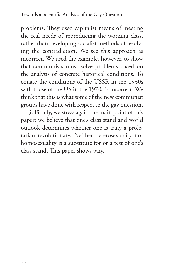problems. They used capitalist means of meeting the real needs of reproducing the working class, rather than developing socialist methods of resolving the contradiction. We see this approach as incorrect. We used the example, however, to show that communists must solve problems based on the analysis of concrete historical conditions. To equate the conditions of the USSR in the 1930s with those of the US in the 1970s is incorrect. We think that this is what some of the new communist groups have done with respect to the gay question.

3. Finally, we stress again the main point of this paper: we believe that one's class stand and world outlook determines whether one is truly a proletarian revolutionary. Neither heterosexuality nor homosexuality is a substitute for or a test of one's class stand. This paper shows why.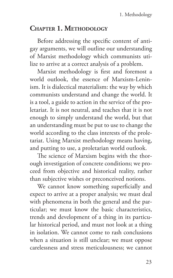## **Chapter 1. Methodology**

Before addressing the specific content of antigay arguments, we will outline our understanding of Marxist methodology which communists utilize to arrive at a correct analysis of a problem.

Marxist methodology is first and foremost a world outlook, the essence of Marxism-Leninism. It is dialectical materialism: the way by which communists understand and change the world. It is a tool, a guide to action in the service of the proletariat. It is not neutral, and teaches that it is not enough to simply understand the world, but that an understanding must be put to use to change the world according to the class interests of the proletariat. Using Marxist methodology means having, and putting to use, a proletarian world outlook.

The science of Marxism begins with the thorough investigation of concrete conditions; we proceed from objective and historical reality, rather than subjective wishes or preconceived notions.

We cannot know something superficially and expect to arrive at a proper analysis; we must deal with phenomena in both the general and the particular; we must know the basic characteristics, trends and development of a thing in its particular historical period, and must not look at a thing in isolation. We cannot come to rash conclusions when a situation is still unclear; we must oppose carelessness and stress meticulousness; we cannot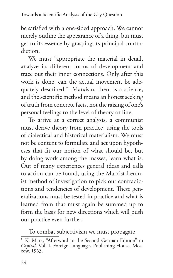be satisfied with a one-sided approach. We cannot merely outline the appearance of a thing, but must get to its essence by grasping its principal contradiction.

We must "appropriate the material in detail, analyze its different forms of development and trace out their inner connections. Only after this work is done, can the actual movement be adequately described."1 Marxism, then, is a science, and the scientific method means an honest seeking of truth from concrete facts, not the raising of one's personal feelings to the level of theory or line.

To arrive at a correct analysis, a communist must derive theory from practice, using the tools of dialectical and historical materialism. We must not be content to formulate and act upon hypotheses that fit our notion of what should be, but by doing work among the masses, learn what is. Out of many experiences general ideas and calls to action can be found, using the Marxist-Leninist method of investigation to pick out contradictions and tendencies of development. These generalizations must be tested in practice and what is learned from that must again be summed up to form the basis for new directions which will push our practice even further.

To combat subjectivism we must propagate

<sup>&</sup>lt;sup>1</sup> K. Marx, "Afterword to the Second German Edition" in *Capital*, Vol. I, Foreign Languages Publishing House, Mos-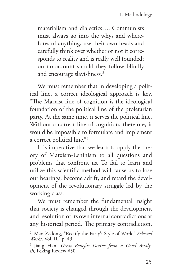materialism and dialectics…. Communists must always go into the whys and wherefores of anything, use their own heads and carefully think over whether or not it corresponds to reality and is really well founded; on no account should they follow blindly and encourage slavishness.<sup>2</sup>

We must remember that in developing a political line, a correct ideological approach is key. "The Marxist line of cognition is the ideological foundation of the political line of the proletarian party. At the same time, it serves the political line. Without a correct line of cognition, therefore, it would be impossible to formulate and implement a correct political line."3

It is imperative that we learn to apply the theory of Marxism-Leninism to all questions and problems that confront us. To fail to learn and utilize this scientific method will cause us to lose our bearings, become adrift, and retard the development of the revolutionary struggle led by the working class.

We must remember the fundamental insight that society is changed through the development and resolution of its own internal contradictions at any historical period. The primary contradiction,

<sup>2</sup> Mao Zedong, "Rectify the Party's Style of Work," *Selected Works,* Vol. III, p. 49.

<sup>3</sup> Jiang Han, *Great Benefits Derive from a Good Analysis,* Peking Review #50.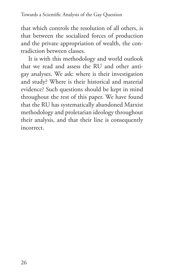that which controls the resolution of all others, is that between the socialized forces of production and the private appropriation of wealth, the contradiction between classes.

It is with this methodology and world outlook that we read and assess the RU and other antigay analyses. We ask: where is their investigation and study? Where is their historical and material evidence? Such questions should be kept in mind throughout the rest of this paper. We have found that the RU has systematically abandoned Marxist methodology and proletarian ideology throughout their analysis, and that their line is consequently incorrect.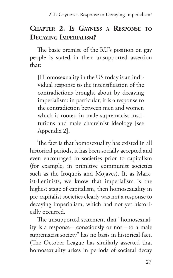## **Chapter 2. Is Gayness a Response to Decaying Imperialism?**

The basic premise of the RU's position on gay people is stated in their unsupported assertion that:

[H]omosexuality in the US today is an individual response to the intensification of the contradictions brought about by decaying imperialism: in particular, it is a response to the contradiction between men and women which is rooted in male supremacist institutions and male chauvinist ideology [see Appendix 2].

The fact is that homosexuality has existed in all historical periods, it has been socially accepted and even encouraged in societies prior to capitalism (for example, in primitive communist societies such as the Iroquois and Mojaves). If, as Marxist-Leninists, we know that imperialism is the highest stage of capitalism, then homosexuality in pre-capitalist societies clearly was not a response to decaying imperialism, which had not yet historically occurred.

The unsupported statement that "homosexuality is a response—consciously or not—to a male supremacist society" has no basis in historical fact. (The October League has similarly asserted that homosexuality arises in periods of societal decay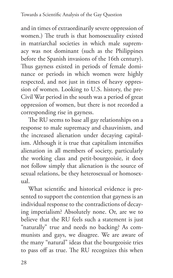and in times of extraordinarily severe oppression of women.) The truth is that homosexuality existed in matriarchal societies in which male supremacy was not dominant (such as the Philippines before the Spanish invasions of the 16th century). Thus gayness existed in periods of female dominance or periods in which women were highly respected, and not just in times of heavy oppression of women. Looking to U.S. history, the pre-Civil War period in the south was a period of great oppression of women, but there is not recorded a corresponding rise in gayness.

The RU seems to base all gay relationships on a response to male supremacy and chauvinism, and the increased alienation under decaying capitalism. Although it is true that capitalism intensifies alienation in all members of society, particularly the working class and petit-bourgeoisie, it does not follow simply that alienation is the source of sexual relations, be they heterosexual or homosexual.

What scientific and historical evidence is presented to support the contention that gayness is an individual response to the contradictions of decaying imperialism? Absolutely none. Or, are we to believe that the RU feels such a statement is just "naturally" true and needs no backing? As communists and gays, we disagree. We are aware of the many "natural" ideas that the bourgeoisie tries to pass off as true. The RU recognizes this when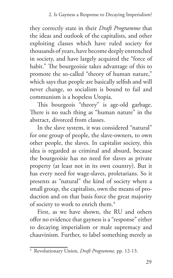they correctly state in their *Draft Programme* that the ideas and outlook of the capitalists, and other exploiting classes which have ruled society for thousands of years, have become deeply entrenched in society, and have largely acquired the "force of habit." The bourgeoisie takes advantage of this to promote the so-called "theory of human nature," which says that people are basically selfish and will never change, so socialism is bound to fail and communism is a hopeless Utopia.

This bourgeois "theory" is age-old garbage. There is no such thing as "human nature" in the abstract, divorced from classes.

In the slave system, it was considered "natural" for one group of people, the slave-owners, to own other people, the slaves. In capitalist society, this idea is regarded as criminal and absurd, because the bourgeoisie has no need for slaves as private property (at least not in its own country). But it has every need for wage-slaves, proletarians. So it presents as "natural" the kind of society where a small group, the capitalists, own the means of production and on that basis force the great majority of society to work to enrich them.4

First, as we have shown, the RU and others offer no evidence that gayness is a "response" either to decaying imperialism or male supremacy and chauvinism. Further, to label something merely as

<sup>4</sup> Revolutionary Union, *Draft Programme,* pp. 12-13.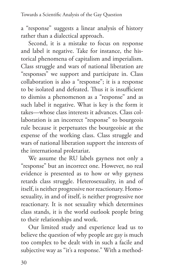a "response" suggests a linear analysis of history rather than a dialectical approach.

Second, it is a mistake to focus on response and label it negative. Take for instance, the historical phenomena of capitalism and imperialism. Class struggle and wars of national liberation are "responses" we support and participate in. Class collaboration is also a "response"; it is a response to be isolated and defeated. Thus it is insufficient to dismiss a phenomenon as a "response" and as such label it negative. What is key is the form it takes—whose class interests it advances. Class collaboration is an incorrect "response" to bourgeois rule because it perpetuates the bourgeoisie at the expense of the working class. Class struggle and wars of national liberation support the interests of the international proletariat.

We assume the RU labels gayness not only a "response" but an incorrect one. However, no real evidence is presented as to how or why gayness retards class struggle. Heterosexuality, in and of itself, is neither progressive nor reactionary. Homosexuality, in and of itself, is neither progressive nor reactionary. It is not sexuality which determines class stands, it is the world outlook people bring to their relationships and work.

Our limited study and experience lead us to believe the question of why people are gay is much too complex to be dealt with in such a facile and subjective way as "it's a response." With a method-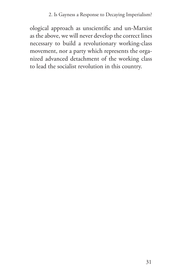#### 2. Is Gayness a Response to Decaying Imperialism?

ological approach as unscientific and un-Marxist as the above, we will never develop the correct lines necessary to build a revolutionary working-class movement, nor a party which represents the organized advanced detachment of the working class to lead the socialist revolution in this country.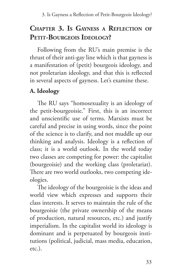# **Chapter 3. Is Gayness a Reflection of** PETIT-BOURGEOIS IDEOLOGY?

Following from the RU's main premise is the thrust of their anti-gay line which is that gayness is a manifestation of (petit) bourgeois ideology, and not proletarian ideology, and that this is reflected in several aspects of gayness. Let's examine these.

## **A. Ideology**

The RU says "homosexuality is an ideology of the petit-bourgeoisie." First, this is an incorrect and unscientific use of terms. Marxists must be careful and precise in using words, since the point of the science is to clarify, and not muddle up our thinking and analysis. Ideology is a reflection of class; it is a world outlook. In the world today two classes are competing for power: the capitalist (bourgeoisie) and the working class (proletariat). There are two world outlooks, two competing ideologies.

The ideology of the bourgeoisie is the ideas and world view which expresses and supports their class interests. It serves to maintain the rule of the bourgeoisie (the private ownership of the means of production, natural resources, etc.) and justify imperialism. In the capitalist world its ideology is dominant and is perpetuated by bourgeois institutions (political, judicial, mass media, education, etc.).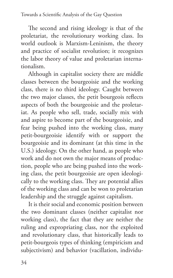The second and rising ideology is that of the proletariat, the revolutionary working class. Its world outlook is Marxism-Leninism, the theory and practice of socialist revolution; it recognizes the labor theory of value and proletarian internationalism.

Although in capitalist society there are middle classes between the bourgeoisie and the working class, there is no third ideology. Caught between the two major classes, the petit bourgeois reflects aspects of both the bourgeoisie and the proletariat. As people who sell, trade, socially mix with and aspire to become part of the bourgeoisie, and fear being pushed into the working class, many petit-bourgeoisie identify with or support the bourgeoisie and its dominant (at this time in the U.S.) ideology. On the other hand, as people who work and do not own the major means of production, people who are being pushed into the working class, the petit bourgeoisie are open ideologically to the working class. They are potential allies of the working class and can be won to proletarian leadership and the struggle against capitalism.

It is their social and economic position between the two dominant classes (neither capitalist nor working class), the fact that they are neither the ruling and expropriating class, nor the exploited and revolutionary class, that historically leads to petit-bourgeois types of thinking (empiricism and subjectivism) and behavior (vacillation, individu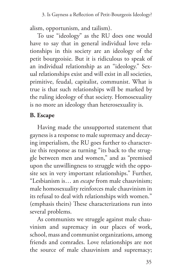alism, opportunism, and tailism).

To use "ideology" as the RU does one would have to say that in general individual love relationships in this society are an ideology of the petit bourgeoisie. But it is ridiculous to speak of an individual relationship as an "ideology." Sexual relationships exist and will exist in all societies, primitive, feudal, capitalist, communist. What is true is that such relationships will be marked by the ruling ideology of that society. Homosexuality is no more an ideology than heterosexuality is.

## **B. Escape**

Having made the unsupported statement that gayness is a response to male supremacy and decaying imperialism, the RU goes further to characterize this response as turning "its back to the struggle between men and women," and as "premised upon the unwillingness to struggle with the opposite sex in very important relationships." Further, "Lesbianism is… an *escape* from male chauvinism; male homosexuality reinforces male chauvinism in its refusal to deal with relationships with women." (emphasis theirs) These characterizations run into several problems.

As communists we struggle against male chauvinism and supremacy in our places of work, school, mass and communist organizations, among friends and comrades. Love relationships are not the source of male chauvinism and supremacy;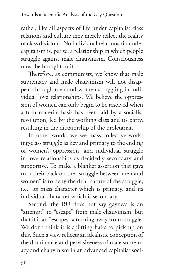rather, like all aspects of life under capitalist class relations and culture they merely reflect the reality of class divisions. No individual relationship under capitalism is, per se, a relationship in which people struggle against male chauvinism. Consciousness must be brought to it.

Therefore, as communists, we know that male supremacy and male chauvinism will not disappear through men and women struggling in individual love relationships. We believe the oppression of women can only begin to be resolved when a firm material basis has been laid by a socialist revolution, led by the working class and its party, resulting in the dictatorship of the proletariat.

In other words, we see mass collective working-class struggle as key and primary to the ending of women's oppression, and individual struggle in love relationships as decidedly secondary and supportive. To make a blanket assertion that gays turn their back on the "struggle between men and women" is to deny the dual nature of the struggle, i.e., its mass character which is primary, and its individual character which is secondary.

Second, the RU does not say gayness is an "attempt" to "escape" from male chauvinism, but that it is an "escape," a turning away from struggle. We don't think it is splitting hairs to pick up on this. Such a view reflects an idealistic conception of the dominance and pervasiveness of male supremacy and chauvinism in an advanced capitalist soci-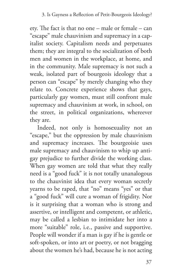ety. The fact is that no one – male or female – can "escape" male chauvinism and supremacy in a capitalist society. Capitalism needs and perpetuates them; they are integral to the socialization of both men and women in the workplace, at home, and in the community. Male supremacy is not such a weak, isolated part of bourgeois ideology that a person can "escape" by merely changing who they relate to. Concrete experience shows that gays, particularly gay women, must still confront male supremacy and chauvinism at work, in school, on the street, in political organizations, whereever they are.

Indeed, not only is homosexuality not an "escape," but the oppression by male chauvinism and supremacy increases. The bourgeoisie uses male supremacy and chauvinism to whip up antigay prejudice to further divide the working class. When gay women are told that what they really need is a "good fuck" it is not totally unanalogous to the chauvinist idea that every woman secretly yearns to be raped, that "no" means "yes" or that a "good fuck" will cure a woman of frigidity. Nor is it surprising that a woman who is strong and assertive, or intelligent and competent, or athletic, may be called a lesbian to intimidate her into a more "suitable" role, i.e., passive and supportive. People will wonder if a man is gay if he is gentle or soft-spoken, or into art or poetry, or not bragging about the women he's had, because he is not acting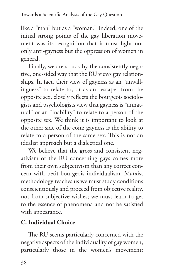like a "man" but as a "woman." Indeed, one of the initial strong points of the gay liberation movement was its recognition that it must fight not only anti-gayness but the oppression of women in general.

Finally, we are struck by the consistently negative, one-sided way that the RU views gay relationships. In fact, their view of gayness as an "unwillingness" to relate to, or as an "escape" from the opposite sex, closely reflects the bourgeois sociologists and psychologists view that gayness is "unnatural" or an "inability" to relate to a person of the opposite sex. We think it is important to look at the other side of the coin: gayness is the ability to relate to a person of the same sex. This is not an idealist approach but a dialectical one.

We believe that the gross and consistent negativism of the RU concerning gays comes more from their own subjectivism than any correct concern with petit-bourgeois individualism. Marxist methodology teaches us we must study conditions conscientiously and proceed from objective reality, not from subjective wishes; we must learn to get to the essence of phenomena and not be satisfied with appearance.

# **C. Individual Choice**

The RU seems particularly concerned with the negative aspects of the individuality of gay women, particularly those in the women's movement: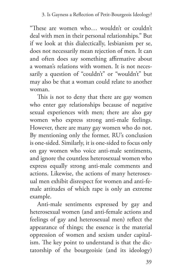"These are women who… wouldn't or couldn't deal with men in their personal relationships." But if we look at this dialectically, lesbianism per se, does not necessarily mean rejection of men. It can and often does say something affirmative about a woman's relations with women. It is not necessarily a question of "couldn't" or "wouldn't" but may also be that a woman could relate to another woman.

This is not to deny that there are gay women who enter gay relationships because of negative sexual experiences with men; there are also gay women who express strong anti-male feelings. However, there are many gay women who do not. By mentioning only the former, RU's conclusion is one-sided. Similarly, it is one-sided to focus only on gay women who voice anti-male sentiments, and ignore the countless heterosexual women who express equally strong anti-male comments and actions. Likewise, the actions of many heterosexual men exhibit disrespect for women and anti-female attitudes of which rape is only an extreme example.

Anti-male sentiments expressed by gay and heterosexual women (and anti-female actions and feelings of gay and heterosexual men) reflect the appearance of things; the essence is the material oppression of women and sexism under capitalism. The key point to understand is that the dictatorship of the bourgeoisie (and its ideology)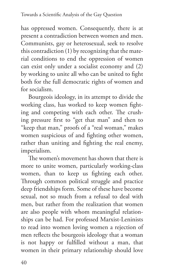has oppressed women. Consequently, there is at present a contradiction between women and men. Communists, gay or heterosexual, seek to resolve this contradiction (1) by recognizing that the material conditions to end the oppression of women can exist only under a socialist economy and (2) by working to unite all who can be united to fight both for the full democratic rights of women and for socialism.

Bourgeois ideology, in its attempt to divide the working class, has worked to keep women fighting and competing with each other. The crushing pressure first to "get that man" and then to "keep that man," proofs of a "real woman," makes women suspicious of and fighting other women, rather than uniting and fighting the real enemy, imperialism.

The women's movement has shown that there is more to unite women, particularly working-class women, than to keep us fighting each other. Through common political struggle and practice deep friendships form. Some of these have become sexual, not so much from a refusal to deal with men, but rather from the realization that women are also people with whom meaningful relationships can be had. For professed Marxist-Leninists to read into women loving women a rejection of men reflects the bourgeois ideology that a woman is not happy or fulfilled without a man, that women in their primary relationship should love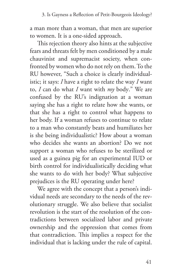a man more than a woman, that men are superior to women. It is a one-sided approach.

This rejection theory also hints at the subjective fears and threats felt by men conditioned by a male chauvinist and supremacist society, when confronted by women who do not rely on them. To the RU however, "Such a choice is clearly individualistic; it says: *I* have a right to relate the way *I* want to, *I* can do what *I* want with *my* body." We are confused by the RU's indignation at a woman saying she has a right to relate how she wants, or that she has a right to control what happens to her body. If a woman refuses to continue to relate to a man who constantly beats and humiliates her is she being individualistic? How about a woman who decides she wants an abortion? Do we not support a woman who refuses to be sterilized or used as a guinea pig for an experimental IUD or birth control for individualistically deciding what she wants to do with her body? What subjective prejudices is the RU operating under here?

We agree with the concept that a person's individual needs are secondary to the needs of the revolutionary struggle. We also believe that socialist revolution is the start of the resolution of the contradictions between socialized labor and private ownership and the oppression that comes from that contradiction. This implies a respect for the individual that is lacking under the rule of capital.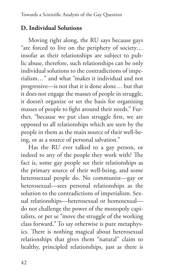## **D. Individual Solutions**

Moving right along, the RU says because gays "are forced to live on the periphery of society… insofar as their relationships are subject to public abuse, therefore, such relationships can be only individual solutions to the contradictions of imperialism…" and what "makes it individual and not progressive—is not that it is done alone… but that it does not engage the masses of people in struggle, it doesn't organize or set the basis for organizing masses of people to fight around their needs." Further, "because we put class struggle first, we are opposed to all relationships which are seen by the people in them as the main source of their well-being, or as a source of personal salvation."

Has the RU ever talked to a gay person, or indeed to any of the people they work with? The fact is, some gay people see their relationships as the primary source of their well-being, and some heterosexual people do. No communist—gay or heterosexual—sees personal relationships as the solution to the contradictions of imperialism. Sexual relationships—heterosexual or homosexual do not challenge the power of the monopoly capitalists, or per se "move the struggle of the working class forward." To say otherwise is pure metaphysics. There is nothing magical about heterosexual relationships that gives them "natural" claim to healthy, principled relationships, just as there is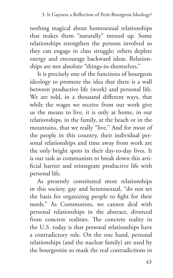nothing magical about homosexual relationships that makes them "naturally" messed up. Some relationships strengthen the persons involved so they can engage in class struggle; others deplete energy and encourage backward ideas. Relationships are not absolute "things-in-themselves."

It is precisely one of the functions of bourgeois ideology to promote the idea that there is a wall between productive life (work) and personal life. We are told, in a thousand different ways, that while the wages we receive from our work give us the means to live, it is only at home, in our relationships, in the family, at the beach or in the mountains, that we really "live." And for most of the people in this country, their individual personal relationships and time away from work are the only bright spots in their day-to-day lives. It is our task as communists to break down this artificial barrier and reintegrate productive life with personal life.

As presently constituted most relationships in this society, gay and heterosexual, "do not set the basis for organizing people to fight for their needs." As Communists, we cannot deal with personal relationships in the abstract, divorced from concrete realities. The concrete reality in the U.S. today is that personal relationships have a contradictory role. On the one hand, personal relationships (and the nuclear family) are used by the bourgeoisie to mask the real contradictions in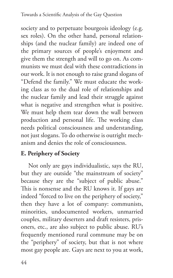society and to perpetuate bourgeois ideology (e.g. sex roles). On the other hand, personal relationships (and the nuclear family) are indeed one of the primary sources of people's enjoyment and give them the strength and will to go on. As communists we must deal with these contradictions in our work. It is not enough to raise grand slogans of "Defend the family." We must educate the working class as to the dual role of relationships and the nuclear family and lead their struggle against what is negative and strengthen what is positive. We must help them tear down the wall between production and personal life. The working class needs political consciousness and understanding, not just slogans. To do otherwise is outright mechanism and denies the role of consciousness.

## **E. Periphery of Society**

Not only are gays individualistic, says the RU, but they are outside "the mainstream of society" because they are the "subject of public abuse." This is nonsense and the RU knows it. If gays are indeed "forced to live on the periphery of society," then they have a lot of company: communists, minorities, undocumented workers, unmarried couples, military deserters and draft resisters, prisoners, etc., are also subject to public abuse. RU's frequently mentioned rural commune may be on the "periphery" of society, but that is not where most gay people are. Gays are next to you at work,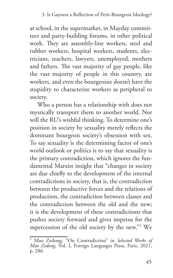at school, in the supermarket, in Mayday committees and party-building forums, in other political work. They are assembly-line workers, steel and rubber workers, hospital workers, students, electricians, teachers, lawyers, unemployed, mothers and fathers. The vast majority of gay people, like the vast majority of people in this country, are workers, and even the bourgeoisie doesn't have the stupidity to characterize workers as peripheral to society.

Who a person has a relationship with does not mystically transport them to another world. Nor will the RU's wishful thinking. To determine one's position in society by sexuality merely reflects the dominant bourgeois society's obsession with sex. To say sexuality is the determining factor of one's world outlook or politics is to say that sexuality is the primary contradiction, which ignores the fundamental Marxist insight that "changes in society are due chiefly to the development of the internal contradictions in society, that is, the contradiction between the productive forces and the relations of production, the contradiction between classes and the contradiction between the old and the new; it is the development of these contradictions that pushes society forward and gives impetus for the supercession of the old society by the new."<sup>5</sup> We

<sup>5</sup> Mao Zedong, "On Contradiction" in *Selected Works of Mao Zedong*, Vol. I, Foreign Languages Press, Paris, 2021, p. 286.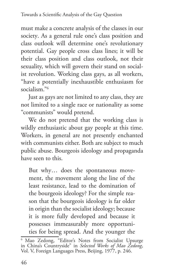must make a concrete analysis of the classes in our society. As a general rule one's class position and class outlook will determine one's revolutionary potential. Gay people cross class lines; it will be their class position and class outlook, not their sexuality, which will govern their stand on socialist revolution. Working class gays, as all workers, "have a potentially inexhaustible enthusiasm for socialism<sup>"6</sup>

Just as gays are not limited to any class, they are not limited to a single race or nationality as some "communists" would pretend.

We do not pretend that the working class is wildly enthusiastic about gay people at this time. Workers, in general are not presently enchanted with communists either. Both are subject to much public abuse. Bourgeois ideology and propaganda have seen to this.

But why… does the spontaneous movement, the movement along the line of the least resistance, lead to the domination of the bourgeois ideology? For the simple reason that the bourgeois ideology is far older in origin than the socialist ideology; because it is more fully developed and because it possesses immeasurably more opportunities for being spread. And the younger the

<sup>6</sup> Mao Zedong, "Editor's Notes from Socialist Upsurge in China's Countryside" in *Selected Works of Mao Zedong*, Vol. V, Foreign Languages Press, Beijing, 1977, p. 246.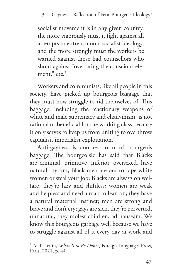socialist movement is in any given country, the more vigorously must it fight against all attempts to entrench non-socialist ideology, and the more strongly must the workers be warned against those bad counsellors who shout against "overrating the conscious element," etc.<sup>7</sup>

Workers and communists, like all people in this society, have picked up bourgeois baggage that they must now struggle to rid themselves of. This baggage, including the reactionary weapons of white and male supremacy and chauvinism, is not rational or beneficial for the working class because it only serves to keep us from uniting to overthrow capitalist, imperialist exploitation.

Anti-gayness is another form of bourgeois baggage. The bourgeoisie has said that Blacks are criminal, primitive, inferior, oversexed, have natural rhythm; Black men are out to rape white women or steal your job; Blacks are always on welfare, they're lazy and shiftless; women are weak and helpless and need a man to lean on; they have a natural maternal instinct; men are strong and brave and don't cry; gays are sick, they're perverted, unnatural, they molest children, ad nauseam. We know this bourgeois garbage well because we have to struggle against all of it every day at work and

<sup>7</sup> V. I. Lenin, *What Is to Be Done?*, Foreign Languages Press, Paris, 2021, p. 44.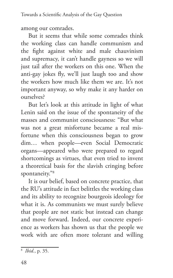among our comrades.

But it seems that while some comrades think the working class can handle communism and the fight against white and male chauvinism and supremacy, it can't handle gayness so we will just tail after the workers on this one. When the anti-gay jokes fly, we'll just laugh too and show the workers how much like them we are. It's not important anyway, so why make it any harder on ourselves?

But let's look at this attitude in light of what Lenin said on the issue of the spontaneity of the masses and communist consciousness: "But what was not a great misfortune became a real misfortune when this consciousness began to grow dim… when people—even Social Democratic organs—appeared who were prepared to regard shortcomings as virtues, that even tried to invent a theoretical basis for the slavish cringing before spontaneity."8

It is our belief, based on concrete practice, that the RU's attitude in fact belittles the working class and its ability to recognize bourgeois ideology for what it is. As communists we must surely believe that people are not static but instead can change and move forward. Indeed, our concrete experience as workers has shown us that the people we work with are often more tolerant and willing

<sup>8</sup> *Ibid.*, p. 35.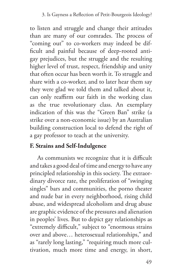to listen and struggle and change their attitudes than are many of our comrades. The process of "coming out" to co-workers may indeed be difficult and painful because of deep-rooted antigay prejudices, but the struggle and the resulting higher level of trust, respect, friendship and unity that often occur has been worth it. To struggle and share with a co-worker, and to later hear them say they were glad we told them and talked about it, can only reaffirm our faith in the working class as the true revolutionary class. An exemplary indication of this was the "Green Ban" strike (a strike over a non-economic issue) by an Australian building construction local to defend the right of a gay professor to teach at the university.

## **F. Strains and Self-Indulgence**

As communists we recognize that it is difficult and takes a good deal of time and energy to have any principled relationship in this society. The extraordinary divorce rate, the proliferation of "swinging singles" bars and communities, the porno theater and nude bar in every neighborhood, rising child abuse, and widespread alcoholism and drug abuse are graphic evidence of the pressures and alienation in peoples' lives. But to depict gay relationships as "extremely difficult," subject to "enormous strains over and above… heterosexual relationships," and as "rarely long lasting," "requiring much more cultivation, much more time and energy, in short,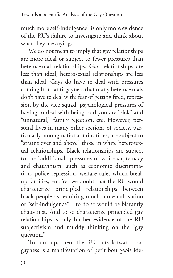much more self-indulgence" is only more evidence of the RU's failure to investigate and think about what they are saying.

We do not mean to imply that gay relationships are more ideal or subject to fewer pressures than heterosexual relationships. Gay relationships are less than ideal; heterosexual relationships are less than ideal. Gays do have to deal with pressures coming from anti-gayness that many heterosexuals don't have to deal with: fear of getting fired, repression by the vice squad, psychological pressures of having to deal with being told you are "sick" and "unnatural," family rejection, etc. However, personal lives in many other sections of society, particularly among national minorities, are subject to "strains over and above" those in white heterosexual relationships. Black relationships are subject to the "additional" pressures of white supremacy and chauvinism, such as economic discrimination, police repression, welfare rules which break up families, etc. Yet we doubt that the RU would characterize principled relationships between black people as requiring much more cultivation or "self-indulgence" – to do so would be blatantly chauvinist. And to so characterize principled gay relationships is only further evidence of the RU subjectivism and muddy thinking on the "gay question."

To sum up, then, the RU puts forward that gayness is a manifestation of petit bourgeois ide-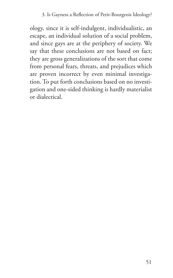#### 3. Is Gayness a Reflection of Petit-Bourgeois Ideology?

ology, since it is self-indulgent, individualistic, an escape, an individual solution of a social problem, and since gays are at the periphery of society. We say that these conclusions are not based on fact; they are gross generalizations of the sort that come from personal fears, threats, and prejudices which are proven incorrect by even minimal investigation. To put forth conclusions based on no investigation and one-sided thinking is hardly materialist or dialectical.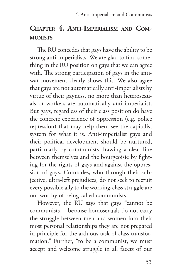# **Chapter 4. Anti-Imperialism and Communists**

The RU concedes that gays have the ability to be strong anti-imperialists. We are glad to find something in the RU position on gays that we can agree with. The strong participation of gays in the antiwar movement clearly shows this. We also agree that gays are not automatically anti-imperialists by virtue of their gayness, no more than heterosexuals or workers are automatically anti-imperialist. But gays, regardless of their class position do have the concrete experience of oppression (e.g. police repression) that may help them see the capitalist system for what it is. Anti-imperialist gays and their political development should be nurtured, particularly by communists drawing a clear line between themselves and the bourgeoisie by fighting for the rights of gays and against the oppression of gays. Comrades, who through their subjective, ultra-left prejudices, do not seek to recruit every possible ally to the working-class struggle are not worthy of being called communists.

However, the RU says that gays "cannot be communists… because homosexuals do not carry the struggle between men and women into their most personal relationships they are not prepared in principle for the arduous task of class transformation." Further, "to be a communist, we must accept and welcome struggle in all facets of our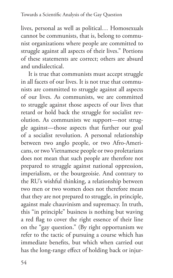lives, personal as well as political… Homosexuals cannot be communists, that is, belong to communist organizations where people are committed to struggle against all aspects of their lives." Portions of these statements are correct; others are absurd and undialectical.

It is true that communists must accept struggle in all facets of our lives. It is not true that communists are committed to struggle against all aspects of our lives. As communists, we are committed to struggle against those aspects of our lives that retard or hold back the struggle for socialist revolution. As communists we support—not struggle against—those aspects that further our goal of a socialist revolution. A personal relationship between two anglo people, or two Afro-Americans, or two Vietnamese people or two proletarians does not mean that such people are therefore not prepared to struggle against national oppression, imperialism, or the bourgeoisie. And contrary to the RU's wishful thinking, a relationship between two men or two women does not therefore mean that they are not prepared to struggle, in principle, against male chauvinism and supremacy. In truth, this "in principle" business is nothing but waving a red flag to cover the right essence of their line on the "gay question." (By right opportunism we refer to the tactic of pursuing a course which has immediate benefits, but which when carried out has the long-range effect of holding back or injur-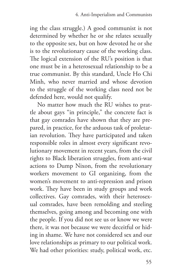ing the class struggle.) A good communist is not determined by whether he or she relates sexually to the opposite sex, but on how devoted he or she is to the revolutionary cause of the working class. The logical extension of the RU's position is that one must be in a heterosexual relationship to be a true communist. By this standard, Uncle Ho Chi Minh, who never married and whose devotion to the struggle of the working class need not be defended here, would not qualify.

No matter how much the RU wishes to prattle about gays "in principle," the concrete fact is that gay comrades have shown that they are prepared, in practice, for the arduous task of proletarian revolution. They have participated and taken responsible roles in almost every significant revolutionary movement in recent years, from the civil rights to Black liberation struggles, from anti-war actions to Dump Nixon, from the revolutionary workers movement to GI organizing, from the women's movement to anti-repression and prison work. They have been in study groups and work collectives. Gay comrades, with their heterosexual comrades, have been remolding and steeling themselves, going among and becoming one with the people. If you did not see us or know we were there, it was not because we were deceitful or hiding in shame. We have not considered sex and our love relationships as primary to our political work. We had other priorities: study, political work, etc.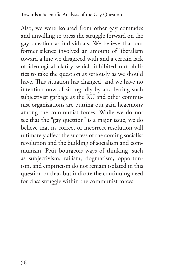Also, we were isolated from other gay comrades and unwilling to press the struggle forward on the gay question as individuals. We believe that our former silence involved an amount of liberalism toward a line we disagreed with and a certain lack of ideological clarity which inhibited our abilities to take the question as seriously as we should have. This situation has changed, and we have no intention now of sitting idly by and letting such subjectivist garbage as the RU and other communist organizations are putting out gain hegemony among the communist forces. While we do not see that the "gay question" is a major issue, we do believe that its correct or incorrect resolution will ultimately affect the success of the coming socialist revolution and the building of socialism and communism. Petit bourgeois ways of thinking, such as subjectivism, tailism, dogmatism, opportunism, and empiricism do not remain isolated in this question or that, but indicate the continuing need for class struggle within the communist forces.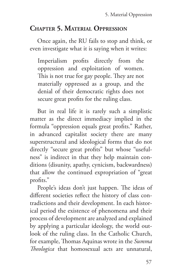# **Chapter 5. Material Oppression**

Once again, the RU fails to stop and think, or even investigate what it is saying when it writes:

Imperialism profits directly from the oppression and exploitation of women. This is not true for gay people. They are not materially oppressed as a group, and the denial of their democratic rights does not secure great profits for the ruling class.

But in real life it is rarely such a simplistic matter as the direct immediacy implied in the formula "oppression equals great profits." Rather, in advanced capitalist society there are many superstructural and ideological forms that do not directly "secure great profits" but whose "usefulness" is indirect in that they help maintain conditions (disunity, apathy, cynicism, backwardness) that allow the continued expropriation of "great profits."

People's ideas don't just happen. The ideas of different societies reflect the history of class contradictions and their development. In each historical period the existence of phenomena and their process of development are analyzed and explained by applying a particular ideology, the world outlook of the ruling class. In the Catholic Church, for example, Thomas Aquinas wrote in the *Summa Theologica* that homosexual acts are unnatural,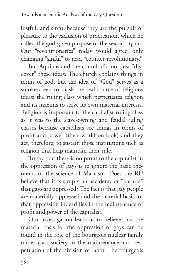lustful, and sinful because they are the pursuit of pleasure to the exclusion of procreation, which he called the god-given purpose of the sexual organs. Our "revolutionaries" today would agree, only changing "sinful" to read "counter-revolutionary."

But Aquinas and the church did not just "discover" these ideas. The church explains things in terms of god, but the idea of "God" serves as a smokescreen to mask the real source of religious ideas: the ruling class which perpetuates religion and its maxims to serve its own material interests. Religion is important to the capitalist ruling class as it was to the slave-owning and feudal ruling classes because capitalists see things in terms of profit and power (their world outlook) and they act, therefore, to sustain those institutions such as religion that help maintain their rule.

To say that there is no profit to the capitalist in the oppression of gays is to ignore the basic theorems of the science of Marxism. Does the RU believe that it is simply an accident, or "natural" that gays are oppressed? The fact is that gay people are materially oppressed and the material basis for that oppression indeed lies in the maintenance of profit and power of the capitalist.

Our investigation leads us to believe that the material basis for the oppression of gays can be found in the role of the bourgeois nuclear family under class society in the maintenance and perpetuation of the division of labor. The bourgeois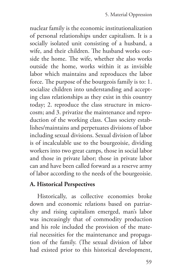nuclear family is the economic institutionalization of personal relationships under capitalism. It is a socially isolated unit consisting of a husband, a wife, and their children. The husband works outside the home. The wife, whether she also works outside the home, works within it as invisible labor which maintains and reproduces the labor force. The purpose of the bourgeois family is to: 1. socialize children into understanding and accepting class relationships as they exist in this country today; 2. reproduce the class structure in microcosm; and 3. privatize the maintenance and reproduction of the working class. Class society establishes/maintains and perpetuates divisions of labor including sexual divisions. Sexual division of labor is of incalculable use to the bourgeoisie, dividing workers into two great camps, those in social labor and those in private labor; those in private labor can and have been called forward as a reserve army of labor according to the needs of the bourgeoisie.

## **A. Historical Perspectives**

Historically, as collective economies broke down and economic relations based on patriarchy and rising capitalism emerged, man's labor was increasingly that of commodity production and his role included the provision of the material necessities for the maintenance and propagation of the family. (The sexual division of labor had existed prior to this historical development,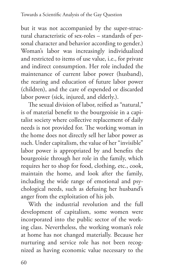but it was not accompanied by the super-structural characteristic of sex-roles – standards of personal character and behavior according to gender.) Woman's labor was increasingly individualized and restricted to items of use value, i.e., for private and indirect consumption. Her role included the maintenance of current labor power (husband), the rearing and education of future labor power (children), and the care of expended or discarded labor power (sick, injured, and elderly.).

The sexual division of labor, reified as "natural," is of material benefit to the bourgeoisie in a capitalist society where collective replacement of daily needs is not provided for. The working woman in the home does not directly sell her labor power as such. Under capitalism, the value of her "invisible" labor power is appropriated by and benefits the bourgeoisie through her role in the family, which requires her to shop for food, clothing, etc., cook, maintain the home, and look after the family, including the wide range of emotional and psychological needs, such as defusing her husband's anger from the exploitation of his job.

With the industrial revolution and the full development of capitalism, some women were incorporated into the public sector of the working class. Nevertheless, the working woman's role at home has not changed materially. Because her nurturing and service role has not been recognized as having economic value necessary to the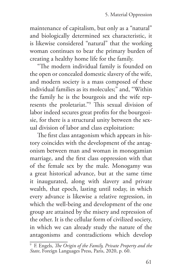maintenance of capitalism, but only as a "natural" and biologically determined sex characteristic, it is likewise considered "natural" that the working woman continues to bear the primary burden of creating a healthy home life for the family.

"The modern individual family is founded on the open or concealed domestic slavery of the wife, and modern society is a mass composed of these individual families as its molecules;" and, "Within the family he is the bourgeois and the wife represents the proletariat."9 This sexual division of labor indeed secures great profits for the bourgeoisie, for there is a structural unity between the sexual division of labor and class exploitation:

The first class antagonism which appears in history coincides with the development of the antagonism between man and woman in monogamian marriage, and the first class oppression with that of the female sex by the male. Monogamy was a great historical advance, but at the same time it inaugurated, along with slavery and private wealth, that epoch, lasting until today, in which every advance is likewise a relative regression, in which the well-being and development of the one group are attained by the misery and repression of the other. It is the cellular form of civilized society, in which we can already study the nature of the antagonisms and contradictions which develop

<sup>9</sup> F. Engels, *The Origin of the Family, Private Property and the State*, Foreign Languages Press, Paris, 2020, p. 60.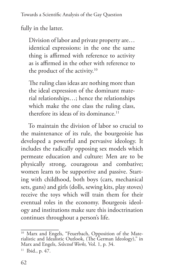fully in the latter.

Division of labor and private property are… identical expressions: in the one the same thing is affirmed with reference to activity as is affirmed in the other with reference to the product of the activity.<sup>10</sup>

The ruling class ideas are nothing more than the ideal expression of the dominant material relationships…; hence the relationships which make the one class the ruling class, therefore its ideas of its dominance.<sup>11</sup>

To maintain the division of labor so crucial to the maintenance of its rule, the bourgeoisie has developed a powerful and pervasive ideology. It includes the radically opposing sex models which permeate education and culture: Men are to be physically strong, courageous and combative; women learn to be supportive and passive. Starting with childhood, both boys (cars, mechanical sets, guns) and girls (dolls, sewing kits, play stoves) receive the toys which will train them for their eventual roles in the economy. Bourgeois ideology and institutions make sure this indoctrination continues throughout a person's life.

<sup>&</sup>lt;sup>10</sup> Marx and Engels, "Feuerbach, Opposition of the Mate-<br>rialistic and Idealistic Outlook, (The German Ideology)," in Marx and Engels, *Selected Works,* Vol. 1, p. 34.

<sup>11</sup> Ibid., p. 47.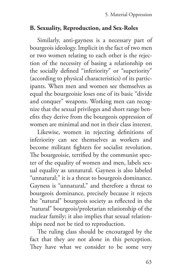#### **B. Sexuality, Reproduction, and Sex-Roles**

Similarly, anti-gayness is a necessary part of bourgeois ideology. Implicit in the fact of two men or two women relating to each other is the rejection of the necessity of basing a relationship on the socially defined "inferiority" or "superiority" (according to physical characteristics) of its participants. When men and women see themselves as equal the bourgeoisie loses one of its basic "divide and conquer" weapons. Working men can recognize that the sexual privileges and short range benefits they derive from the bourgeois oppression of women are minimal and not in their class interest.

Likewise, women in rejecting definitions of inferiority can see themselves as workers and become militant fighters for socialist revolution. The bourgeoisie, terrified by the communist specter of the equality of women and men, labels sexual equality as unnatural. Gayness is also labeled "unnatural;" it is a threat to bourgeois dominance. Gayness is "unnatural," and therefore a threat to bourgeois dominance, precisely because it rejects the "natural" bourgeois society as reflected in the "natural" bourgeois/proletarian relationship of the nuclear family; it also implies that sexual relationships need not be tied to reproduction.

The ruling class should be encouraged by the fact that they are not alone in this perception. They have what we consider to be some very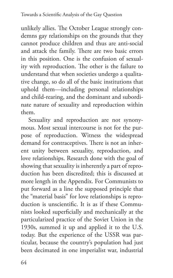unlikely allies. The October League strongly condemns gay relationships on the grounds that they cannot produce children and thus are anti-social and attack the family. There are two basic errors in this position. One is the confusion of sexuality with reproduction. The other is the failure to understand that when societies undergo a qualitative change, so do all of the basic institutions that uphold them—including personal relationships and child-rearing, and the dominant and subordinate nature of sexuality and reproduction within them.

Sexuality and reproduction are not synonymous. Most sexual intercourse is not for the purpose of reproduction. Witness the widespread demand for contraceptives. There is not an inherent unity between sexuality, reproduction, and love relationships. Research done with the goal of showing that sexuality is inherently a part of reproduction has been discredited; this is discussed at more length in the Appendix. For Communists to put forward as a line the supposed principle that the "material basis" for love relationships is reproduction is unscientific. It is as if these Communists looked superficially and mechanically at the particularized practice of the Soviet Union in the 1930s, summed it up and applied it to the U.S. today. But the experience of the USSR was particular, because the country's population had just been decimated in one imperialist war, industrial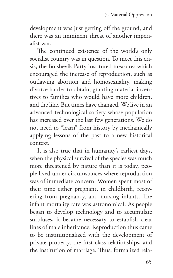development was just getting off the ground, and there was an imminent threat of another imperialist war.

The continued existence of the world's only socialist country was in question. To meet this crisis, the Bolshevik Party instituted measures which encouraged the increase of reproduction, such as outlawing abortion and homosexuality, making divorce harder to obtain, granting material incentives to families who would have more children, and the like. But times have changed. We live in an advanced technological society whose population has increased over the last few generations. We do not need to "learn" from history by mechanically applying lessons of the past to a new historical context.

It is also true that in humanity's earliest days, when the physical survival of the species was much more threatened by nature than it is today, people lived under circumstances where reproduction was of immediate concern. Women spent most of their time either pregnant, in childbirth, recovering from pregnancy, and nursing infants. The infant mortality rate was astronomical. As people began to develop technology and to accumulate surpluses, it became necessary to establish clear lines of male inheritance. Reproduction thus came to be institutionalized with the development of private property, the first class relationships, and the institution of marriage. Thus, formalized rela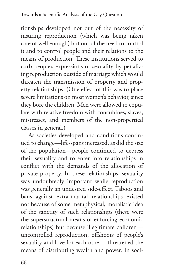tionships developed not out of the necessity of insuring reproduction (which was being taken care of well enough) but out of the need to control it and to control people and their relations to the means of production. These institutions served to curb people's expressions of sexuality by penalizing reproduction outside of marriage which would threaten the transmission of property and property relationships. (One effect of this was to place severe limitations on most women's behavior, since they bore the children. Men were allowed to copulate with relative freedom with concubines, slaves, mistresses, and members of the non-propertied classes in general.)

As societies developed and conditions continued to change—life-spans increased, as did the size of the population—people continued to express their sexuality and to enter into relationships in conflict with the demands of the allocation of private property. In these relationships, sexuality was undoubtedly important while reproduction was generally an undesired side-effect. Taboos and bans against extra-marital relationships existed not because of some metaphysical, moralistic idea of the sanctity of such relationships (these were the superstructural means of enforcing economic relationships) but because illegitimate children uncontrolled reproduction, offshoots of people's sexuality and love for each other—threatened the means of distributing wealth and power. In soci-

66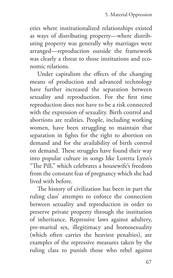eties where institutionalized relationships existed as ways of distributing property—where distributing property was generally why marriages were arranged—reproduction outside the framework was clearly a threat to those institutions and economic relations.

Under capitalism the effects of the changing means of production and advanced technology have further increased the separation between sexuality and reproduction. For the first time reproduction does not have to be a risk connected with the expression of sexuality. Birth control and abortions are realities. People, including working women, have been struggling to maintain that separation in fights for the right to abortion on demand and for the availability of birth control on demand. These struggles have found their way into popular culture in songs like Loretta Lynn's "The Pill," which celebrates a housewife's freedom from the constant fear of pregnancy which she had lived with before.

The history of civilization has been in part the ruling class' attempts to enforce the connection between sexuality and reproduction in order to preserve private property through the institution of inheritance. Repressive laws against adultery, pre-marital sex, illegitimacy and homosexuality (which often carries the heaviest penalties), are examples of the repressive measures taken by the ruling class to punish those who rebel against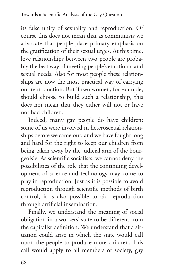its false unity of sexuality and reproduction. Of course this does not mean that as communists we advocate that people place primary emphasis on the gratification of their sexual urges. At this time, love relationships between two people are probably the best way of meeting people's emotional and sexual needs. Also for most people these relationships are now the most practical way of carrying out reproduction. But if two women, for example, should choose to build such a relationship, this does not mean that they either will not or have not had children.

Indeed, many gay people do have children; some of us were involved in heterosexual relationships before we came out, and we have fought long and hard for the right to keep our children from being taken away by the judicial arm of the bourgeoisie. As scientific socialists, we cannot deny the possibilities of the role that the continuing development of science and technology may come to play in reproduction. Just as it is possible to avoid reproduction through scientific methods of birth control, it is also possible to aid reproduction through artificial insemination.

Finally, we understand the meaning of social obligation in a workers' state to be different from the capitalist definition. We understand that a situation could arise in which the state would call upon the people to produce more children. This call would apply to all members of society, gay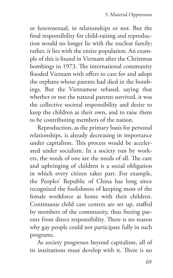or heterosexual, in relationships or not. But the final responsibility for child-raising and reproduction would no longer lie with the nuclear family; rather, it lies with the entire population. An example of this is found in Vietnam after the Christmas bombings in 1973. The international community flooded Vietnam with offers to care for and adopt the orphans whose parents had died in the bombings. But the Vietnamese refused, saying that whether or not the natural parents survived, it was the collective societal responsibility and desire to keep the children as their own, and to raise them to be contributing members of the nation.

Reproduction, as the primary basis for personal relationships, is already decreasing in importance under capitalism. This process would be accelerated under socialism. In a society run by workers, the needs of one are the needs of all. The care and upbringing of children is a social obligation in which every citizen takes part. For example, the Peoples' Republic of China has long since recognized the foolishness of keeping most of the female workforce at home with their children. Continuous child care centers are set up, staffed by members of the community, thus freeing parents from direct responsibility. There is no reason why gay people could not participate fully in such programs.

As society progresses beyond capitalism, all of its institutions must develop with it. There is no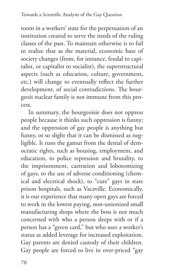room in a workers' state for the perpetuation of an institution created to serve the needs of the ruling classes of the past. To maintain otherwise is to fail to realize that as the material, economic base of society changes (from, for instance, feudal to capitalist, or capitalist to socialist), the superstructural aspects (such as education, culture, government, etc.) will change to eventually reflect the further development, of social contradictions. The bourgeois nuclear family is not immune from this process.

In summary, the bourgeoisie does not oppress people because it thinks such oppression is funny; and the oppression of gay people is anything but funny, or so slight that it can be dismissed as negligible. It runs the gamut from the denial of democratic rights, such as housing, employment, and education, to police repression and brutality, to the imprisonment, castration and lobotomizing of gays, to the use of adverse conditioning (chemical and electrical shock), to "cure" gays in state prison hospitals, such as Vacaville. Economically, it is our experience that many open gays are forced to work in the lowest paying, non-unionized small manufacturing shops where the boss is not much concerned with who a person sleeps with or if a person has a "green card," but who uses a worker's status as added leverage for increased exploitation. Gay parents are denied custody of their children. Gay people are forced to live in over-priced "gay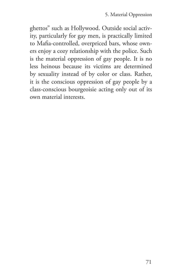ghettos" such as Hollywood. Outside social activity, particularly for gay men, is practically limited to Mafia-controlled, overpriced bars, whose owners enjoy a cozy relationship with the police. Such is the material oppression of gay people. It is no less heinous because its victims are determined by sexuality instead of by color or class. Rather, it is the conscious oppression of gay people by a class-conscious bourgeoisie acting only out of its own material interests.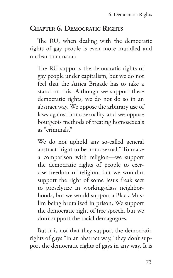### **Chapter 6. Democratic Rights**

The RU, when dealing with the democratic rights of gay people is even more muddled and unclear than usual:

The RU supports the democratic rights of gay people under capitalism, but we do not feel that the Attica Brigade has to take a stand on this. Although we support these democratic rights, we do not do so in an abstract way. We oppose the arbitrary use of laws against homosexuality and we oppose bourgeois methods of treating homosexuals as "criminals."

We do not uphold any so-called general abstract "right to be homosexual." To make a comparison with religion—we support the democratic rights of people to exercise freedom of religion, but we wouldn't support the right of some Jesus freak sect to proselytize in working-class neighborhoods, but we would support a Black Muslim being brutalized in prison. We support the democratic right of free speech, but we don't support the racial demagogues.

But it is not that they support the democratic rights of gays "in an abstract way," they don't support the democratic rights of gays in any way. It is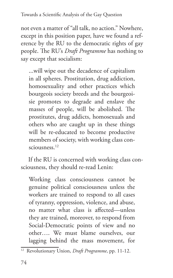not even a matter of "all talk, no action." Nowhere, except in this position paper, have we found a reference by the RU to the democratic rights of gay people. The RU's *Draft Programme* has nothing to say except that socialism:

...will wipe out the decadence of capitalism in all spheres. Prostitution, drug addiction, homosexuality and other practices which bourgeois society breeds and the bourgeoisie promotes to degrade and enslave the masses of people, will be abolished. The prostitutes, drug addicts, homosexuals and others who are caught up in these things will be re-educated to become productive members of society, with working class consciousness.<sup>12</sup>

If the RU is concerned with working class consciousness, they should re-read Lenin:

Working class consciousness cannot be genuine political consciousness unless the workers are trained to respond to all cases of tyranny, oppression, violence, and abuse, no matter what class is affected—unless they are trained, moreover, to respond from Social-Democratic points of view and no other…. We must blame ourselves, our lagging behind the mass movement, for

<sup>12</sup> Revolutionary Union, *Draft Programme*, pp. 11-12.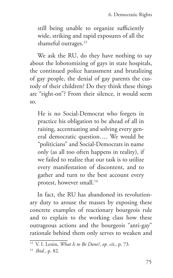still being unable to organize sufficiently wide, striking and rapid exposures of all the shameful outrages.<sup>13</sup>

We ask the RU, do they have nothing to say about the lobotomizing of gays in state hospitals, the continued police harassment and brutalizing of gay people, the denial of gay parents the custody of their children? Do they think these things are "right-on"? From their silence, it would seem so.

He is no Social-Democrat who forgets in practice his obligation to be ahead of all in raising, accentuating and solving every general democratic question…. We would be "politicians" and Social-Democrats in name only (as all too often happens in reality), if we failed to realize that our task is to utilize every manifestation of discontent, and to gather and turn to the best account every protest, however small.<sup>14</sup>

In fact, the RU has abandoned its revolutionary duty to arouse the masses by exposing these concrete examples of reactionary bourgeois rule and to explain to the working class how these outrageous actions and the bourgeois "anti-gay" rationale behind them only serves to weaken and

<sup>13</sup> V. I. Lenin, *What Is to Be Done?*, *op. cit.*, p. 73.

<sup>14</sup> *Ibid.*, p. 82.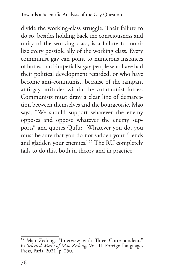divide the working-class struggle. Their failure to do so, besides holding back the consciousness and unity of the working class, is a failure to mobilize every possible ally of the working class. Every communist gay can point to numerous instances of honest anti-imperialist gay people who have had their political development retarded, or who have become anti-communist, because of the rampant anti-gay attitudes within the communist forces. Communists must draw a clear line of demarcation between themselves and the bourgeoisie. Mao says, "We should support whatever the enemy opposes and oppose whatever the enemy supports" and quotes Qufu: "Whatever you do, you must be sure that you do not sadden your friends and gladden your enemies."15 The RU completely fails to do this, both in theory and in practice.

<sup>&</sup>lt;sup>15</sup> Mao Zedong, "Interview with Three Correspondents" in *Selected Works of Mao Zedong*, Vol. II, Foreign Languages Press, Paris, 2021, p. 250.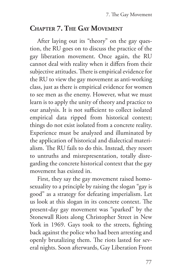### **Chapter 7. The Gay Movement**

After laying out its "theory" on the gay question, the RU goes on to discuss the practice of the gay liberation movement. Once again, the RU cannot deal with reality when it differs from their subjective attitudes. There is empirical evidence for the RU to view the gay movement as anti-working class, just as there is empirical evidence for women to see men as the enemy. However, what we must learn is to apply the unity of theory and practice to our analysis. It is not sufficient to collect isolated empirical data ripped from historical context; things do not exist isolated from a concrete reality. Experience must be analyzed and illuminated by the application of historical and dialectical materialism. The RU fails to do this. Instead, they resort to untruths and misrepresentation, totally disregarding the concrete historical context that the gay movement has existed in.

First, they say the gay movement raised homosexuality to a principle by raising the slogan "gay is good" as a strategy for defeating imperialism. Let us look at this slogan in its concrete context. The present-day gay movement was "sparked" by the Stonewall Riots along Christopher Street in New York in 1969. Gays took to the streets, fighting back against the police who had been arresting and openly brutalizing them. The riots lasted for several nights. Soon afterwards, Gay Liberation Front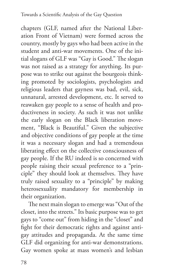chapters (GLF, named after the National Liberation Front of Vietnam) were formed across the country, mostly by gays who had been active in the student and anti-war movements. One of the initial slogans of GLF was "Gay is Good." The slogan was not raised as a strategy for anything. Its purpose was to strike out against the bourgeois thinking promoted by sociologists, psychologists and religious leaders that gayness was bad, evil, sick, unnatural, arrested development, etc. It served to reawaken gay people to a sense of health and productiveness in society. As such it was not unlike the early slogan on the Black liberation movement, "Black is Beautiful." Given the subjective and objective conditions of gay people at the time it was a necessary slogan and had a tremendous liberating effect on the collective consciousness of gay people. If the RU indeed is so concerned with people raising their sexual preference to a "principle" they should look at themselves. They have truly raised sexuality to a "principle" by making heterosexuality mandatory for membership in their organization.

The next main slogan to emerge was "Out of the closet, into the streets." Its basic purpose was to get gays to "come out" from hiding in the "closet" and fight for their democratic rights and against antigay attitudes and propaganda. At the same time GLF did organizing for anti-war demonstrations. Gay women spoke at mass women's and lesbian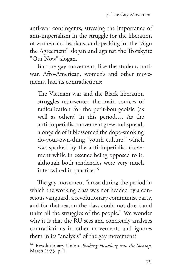anti-war contingents, stressing the importance of anti-imperialism in the struggle for the liberation of women and lesbians, and speaking for the "Sign the Agreement" slogan and against the Trotskyite "Out Now" slogan.

But the gay movement, like the student, antiwar, Afro-American, women's and other movements, had its contradictions:

The Vietnam war and the Black liberation struggles represented the main sources of radicalization for the petit-bourgeoisie (as well as others) in this period…. As the anti-imperialist movement grew and spread, alongside of it blossomed the dope-smoking do-your-own-thing "youth culture," which was sparked by the anti-imperialist movement while in essence being opposed to it, although both tendencies were very much intertwined in practice.<sup>16</sup>

The gay movement "arose during the period in which the working class was not headed by a conscious vanguard, a revolutionary communist party, and for that reason the class could not direct and unite all the struggles of the people." We wonder why it is that the RU sees and concretely analyzes contradictions in other movements and ignores them in its "analysis" of the gay movement?

<sup>16</sup> Revolutionary Union, *Rushing Headlong into the Swamp,*  March 1975, p. 1.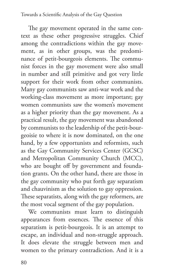The gay movement operated in the same context as these other progressive struggles. Chief among the contradictions within the gay movement, as in other groups, was the predominance of petit-bourgeois elements. The communist forces in the gay movement were also small in number and still primitive and got very little support for their work from other communists. Many gay communists saw anti-war work and the working-class movement as more important; gay women communists saw the women's movement as a higher priority than the gay movement. As a practical result, the gay movement was abandoned by communists to the leadership of the petit-bourgeoisie to where it is now dominated, on the one hand, by a few opportunists and reformists, such as the Gay Community Services Center (GCSC) and Metropolitan Community Church (MCC), who are bought off by government and foundation grants. On the other hand, there are those in the gay community who put forth gay separatism and chauvinism as the solution to gay oppression. These separatists, along with the gay reformers, are the most vocal segment of the gay population.

We communists must learn to distinguish appearances from essences. The essence of this separatism is petit-bourgeois. It is an attempt to escape, an individual and non-struggle approach. It does elevate the struggle between men and women to the primary contradiction. And it is a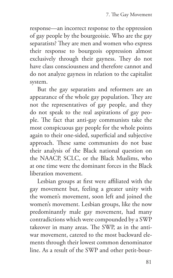response—an incorrect response to the oppression of gay people by the bourgeoisie. Who are the gay separatists? They are men and women who express their response to bourgeois oppression almost exclusively through their gayness. They do not have class consciousness and therefore cannot and do not analyze gayness in relation to the capitalist system.

But the gay separatists and reformers are an appearance of the whole gay population. They are not the representatives of gay people, and they do not speak to the real aspirations of gay people. The fact that anti-gay communists take the most conspicuous gay people for the whole points again to their one-sided, superficial and subjective approach. These same communists do not base their analysis of the Black national question on the NAACP, SCLC, or the Black Muslims, who at one time were the dominant forces in the Black liberation movement.

Lesbian groups at first were affiliated with the gay movement but, feeling a greater unity with the women's movement, soon left and joined the women's movement. Lesbian groups, like the now predominantly male gay movement, had many contradictions which were compounded by a SWP takeover in many areas. The SWP, as in the antiwar movement, catered to the most backward elements through their lowest common denominator line. As a result of the SWP and other petit-bour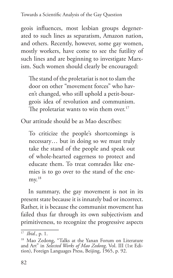Towards a Scientific Analysis of the Gay Question

geois influences, most lesbian groups degenerated to such lines as separatism, Amazon nation, and others. Recently, however, some gay women, mostly workers, have come to see the futility of such lines and are beginning to investigate Marxism. Such women should clearly be encouraged:

The stand of the proletariat is not to slam the door on other "movement forces" who haven't changed, who still uphold a petit-bourgeois idea of revolution and communism. The proletariat wants to win them over. $17$ 

Our attitude should be as Mao describes:

To criticize the people's shortcomings is necessary… but in doing so we must truly take the stand of the people and speak out of whole-hearted eagerness to protect and educate them. To treat comrades like enemies is to go over to the stand of the ene $mv<sup>18</sup>$ 

In summary, the gay movement is not in its present state because it is innately bad or incorrect. Rather, it is because the communist movement has failed thus far through its own subjectivism and primitiveness, to recognize the progressive aspects

<sup>17</sup> *Ibid.*, p. 1.

<sup>&</sup>lt;sup>18</sup> Mao Zedong, "Talks at the Yanan Forum on Literature and Art" in *Selected Works of Mao Zedong,* Vol. III (1st Edi- tion), Foreign Languages Press, Beijing, 1965, p. 92.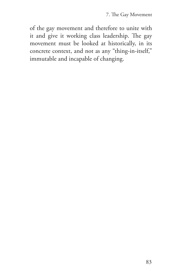of the gay movement and therefore to unite with it and give it working class leadership. The gay movement must be looked at historically, in its concrete context, and not as any "thing-in-itself," immutable and incapable of changing.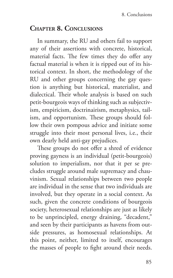### **Chapter 8. Conclusions**

In summary, the RU and others fail to support any of their assertions with concrete, historical, material facts. The few times they do offer any factual material is when it is ripped out of its historical context. In short, the methodology of the RU and other groups concerning the gay question is anything but historical, materialist, and dialectical. Their whole analysis is based on such petit-bourgeois ways of thinking such as subjectivism, empiricism, doctrinairism, metaphysics, tailism, and opportunism. These groups should follow their own pompous advice and initiate some struggle into their most personal lives, i.e., their own dearly held anti-gay prejudices.

These groups do not offer a shred of evidence proving gayness is an individual (petit-bourgeois) solution to imperialism, nor that it per se precludes struggle around male supremacy and chauvinism. Sexual relationships between two people are individual in the sense that two individuals are involved, but they operate in a social context. As such, given the concrete conditions of bourgeois society, heterosexual relationships are just as likely to be unprincipled, energy draining, "decadent," and seen by their participants as havens from outside pressures, as homosexual relationships. At this point, neither, limited to itself, encourages the masses of people to fight around their needs.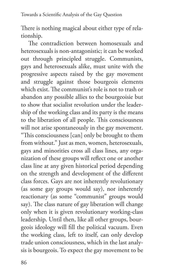There is nothing magical about either type of relationship.

The contradiction between homosexuals and heterosexuals is non-antagonistic; it can be worked out through principled struggle. Communists, gays and heterosexuals alike, must unite with the progressive aspects raised by the gay movement and struggle against those bourgeois elements which exist. The communist's role is not to trash or abandon any possible allies to the bourgeoisie but to show that socialist revolution under the leadership of the working class and its party is the means to the liberation of all people. This consciousness will not arise spontaneously in the gay movement. "This consciousness [can] only be brought to them from without." Just as men, women, heterosexuals, gays and minorities cross all class lines, any organization of these groups will reflect one or another class line at any given historical period depending on the strength and development of the different class forces. Gays are not inherently revolutionary (as some gay groups would say), nor inherently reactionary (as some "communist" groups would say). The class nature of gay liberation will change only when it is given revolutionary working-class leadership. Until then, like all other groups, bourgeois ideology will fill the political vacuum. Even the working class, left to itself, can only develop trade union consciousness, which in the last analysis is bourgeois. To expect the gay movement to be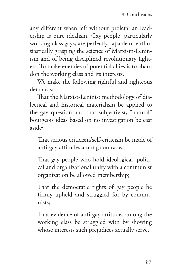any different when left without proletarian leadership is pure idealism. Gay people, particularly working-class gays, are perfectly capable of enthusiastically grasping the science of Marxism-Leninism and of being disciplined revolutionary fighters. To make enemies of potential allies is to abandon the working class and its interests.

We make the following rightful and righteous demands:

That the Marxist-Leninist methodology of dialectical and historical materialism be applied to the gay question and that subjectivist, "natural" bourgeois ideas based on no investigation be cast aside;

That serious criticism/self-criticism be made of anti-gay attitudes among comrades;

That gay people who hold ideological, political and organizational unity with a communist organization be allowed membership;

That the democratic rights of gay people be firmly upheld and struggled for by communists;

That evidence of anti-gay attitudes among the working class be struggled with by showing whose interests such prejudices actually serve.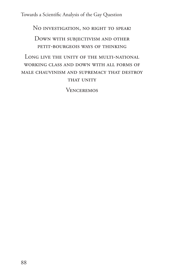Towards a Scientific Analysis of the Gay Question

No investigation, no right to speak!

Down with subjectivism and other petit-bourgeois ways of thinking

Long live the unity of the multi-national working class and down with all forms of male chauvinism and supremacy that destroy THAT UNITY

**VENCEREMOS**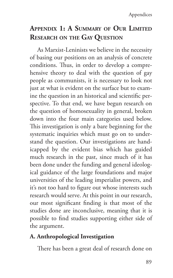# **Appendix 1: A Summary of Our Limited Research on the Gay Question**

As Marxist-Leninists we believe in the necessity of basing our positions on an analysis of concrete conditions. Thus, in order to develop a comprehensive theory to deal with the question of gay people as communists, it is necessary to look not just at what is evident on the surface but to examine the question in an historical and scientific perspective. To that end, we have begun research on the question of homosexuality in general, broken down into the four main categories used below. This investigation is only a bare beginning for the systematic inquiries which must go on to understand the question. Our investigations are handicapped by the evident bias which has guided much research in the past, since much of it has been done under the funding and general ideological guidance of the large foundations and major universities of the leading imperialist powers, and it's not too hard to figure out whose interests such research would serve. At this point in our research, our most significant finding is that most of the studies done are inconclusive, meaning that it is possible to find studies supporting either side of the argument.

## **A. Anthropological Investigation**

There has been a great deal of research done on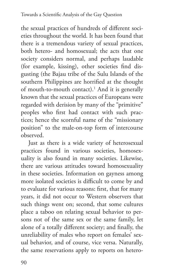the sexual practices of hundreds of different societies throughout the world. It has been found that there is a tremendous variety of sexual practices, both hetero- and homosexual; the acts that one society considers normal, and perhaps laudable (for example, kissing), other societies find disgusting (the Bajau tribe of the Sulu Islands of the southern Philippines are horrified at the thought of mouth-to-mouth contact).<sup>1</sup> And it is generally known that the sexual practices of Europeans were regarded with derision by many of the "primitive" peoples who first had contact with such practices; hence the scornful name of the "missionary position" to the male-on-top form of intercourse observed.

Just as there is a wide variety of heterosexual practices found in various societies, homosexuality is also found in many societies. Likewise, there are various attitudes toward homosexuality in these societies. Information on gayness among more isolated societies is difficult to come by and to evaluate for various reasons: first, that for many years, it did not occur to Western observers that such things went on; second, that some cultures place a taboo on relating sexual behavior to persons not of the same sex or the same family, let alone of a totally different society; and finally, the unreliability of males who report on females' sexual behavior, and of course, vice versa. Naturally, the same reservations apply to reports on hetero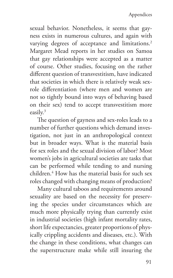sexual behavior. Nonetheless, it seems that gayness exists in numerous cultures, and again with varying degrees of acceptance and limitations.<sup>2</sup> Margaret Mead reports in her studies on Samoa that gay relationships were accepted as a matter of course. Other studies, focusing on the rather different question of transvestitism, have indicated that societies in which there is relatively weak sexrole differentiation (where men and women are not so tightly bound into ways of behaving based on their sex) tend to accept transvestitism more easily.3

The question of gayness and sex-roles leads to a number of further questions which demand investigation, not just in an anthropological context but in broader ways. What is the material basis for sex roles and the sexual division of labor? Most women's jobs in agricultural societies are tasks that can be performed while tending to and nursing children.4 How has the material basis for such sex roles changed with changing means of production?

Many cultural taboos and requirements around sexuality are based on the necessity for preserving the species under circumstances which are much more physically trying than currently exist in industrial societies (high infant mortality rates, short life expectancies, greater proportions of physically crippling accidents and diseases, etc.). With the change in these conditions, what changes can the superstructure make while still insuring the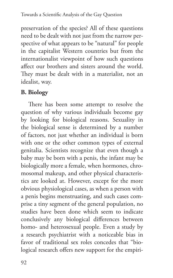preservation of the species? All of these questions need to be dealt with not just from the narrow perspective of what appears to be "natural" for people in the capitalist Western countries but from the internationalist viewpoint of how such questions affect our brothers and sisters around the world. They must be dealt with in a materialist, not an idealist, way.

### **B. Biology**

There has been some attempt to resolve the question of why various individuals become gay by looking for biological reasons. Sexuality in the biological sense is determined by a number of factors, not just whether an individual is born with one or the other common types of external genitalia. Scientists recognize that even though a baby may be born with a penis, the infant may be biologically more a female, when hormones, chromosomal makeup, and other physical characteristics are looked at. However, except for the more obvious physiological cases, as when a person with a penis begins menstruating, and such cases comprise a tiny segment of the general population, no studies have been done which seem to indicate conclusively any biological differences between homo- and heterosexual people. Even a study by a research psychiatrist with a noticeable bias in favor of traditional sex roles concedes that "biological research offers new support for the empiri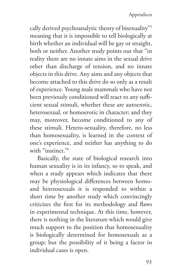cally derived psychoanalytic theory of bisexuality"5 meaning that it is impossible to tell biologically at birth whether an individual will be gay or straight, both or neither. Another study points out that "in reality there are no innate aims in the sexual drive other than discharge of tension, and no innate objects in this drive. Any aims and any objects that become attached to this drive do so only as a result of experience. Young male mammals who have not been previously conditioned will react to any sufficient sexual stimuli, whether these are autoerotic, heterosexual, or homoerotic in character; and they may, moreover, become conditioned to any of these stimuli. Hetero-sexuality, therefore, no less than homosexuality, is learned in the context of one's experience, and neither has anything to do with "instinct."<sup>6</sup>

Basically, the state of biological research into human sexuality is in its infancy, so to speak, and when a study appears which indicates that there may be physiological differences between homoand heterosexuals it is responded to within a short time by another study which convincingly criticizes the first for its methodology and flaws in experimental technique. At this time, however, there is nothing in the literature which would give much support to the position that homosexuality is biologically determined for homosexuals as a group; but the possibility of it being a factor in individual cases is open.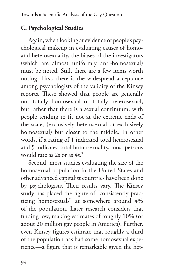#### **C. Psychological Studies**

Again, when looking at evidence of people's psychological makeup in evaluating causes of homoand heterosexuality, the biases of the investigators (which are almost uniformly anti-homosexual) must be noted. Still, there are a few items worth noting. First, there is the widespread acceptance among psychologists of the validity of the Kinsey reports. These showed that people are generally not totally homosexual or totally heterosexual, but rather that there is a sexual continuum, with people tending to fit not at the extreme ends of the scale, (exclusively heterosexual or exclusively homosexual) but closer to the middle. In other words, if a rating of 1 indicated total heterosexual and 5 indicated total homosexuality, most persons would rate as 2s or as 4s.7

Second, most studies evaluating the size of the homosexual population in the United States and other advanced capitalist countries have been done by psychologists. Their results vary. The Kinsey study has placed the figure of "consistently practicing homosexuals" at somewhere around 4% of the population. Later research considers that finding low, making estimates of roughly 10% (or about 20 million gay people in America). Further, even Kinsey figures estimate that roughly a third of the population has had some homosexual experience—a figure that is remarkable given the het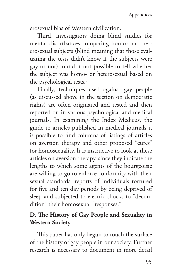erosexual bias of Western civilization.

Third, investigators doing blind studies for mental disturbances comparing homo- and heterosexual subjects (blind meaning that those evaluating the tests didn't know if the subjects were gay or not) found it not possible to tell whether the subject was homo- or heterosexual based on the psychological tests.<sup>8</sup>

Finally, techniques used against gay people (as discussed above in the section on democratic rights) are often originated and tested and then reported on in various psychological and medical journals. In examining the Index Medicus, the guide to articles published in medical journals it is possible to find columns of listings of articles on aversion therapy and other proposed "cures" for homosexuality. It is instructive to look at these articles on aversion therapy, since they indicate the lengths to which some agents of the bourgeoisie are willing to go to enforce conformity with their sexual standards: reports of individuals tortured for five and ten day periods by being deprived of sleep and subjected to electric shocks to "decondition" their homosexual "responses."

### **D. The History of Gay People and Sexuality in Western Society**

This paper has only begun to touch the surface of the history of gay people in our society. Further research is necessary to document in more detail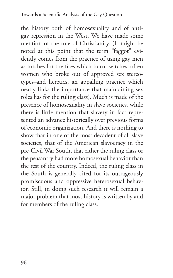the history both of homosexuality and of antigay repression in the West. We have made some mention of the role of Christianity. (It might be noted at this point that the term "faggot" evidently comes from the practice of using gay men as torches for the fires which burnt witches–often women who broke out of approved sex stereotypes–and heretics, an appalling practice which neatly links the importance that maintaining sex roles has for the ruling class). Much is made of the presence of homosexuality in slave societies, while there is little mention that slavery in fact represented an advance historically over previous forms of economic organization. And there is nothing to show that in one of the most decadent of all slave societies, that of the American slavocracy in the pre-Civil War South, that either the ruling class or the peasantry had more homosexual behavior than the rest of the country. Indeed, the ruling class in the South is generally cited for its outrageously promiscuous and oppressive heterosexual behavior. Still, in doing such research it will remain a major problem that most history is written by and for members of the ruling class.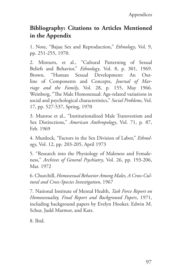#### **Bibliography: Citations to Articles Mentioned in the Appendix**

1. Note, "Bajau Sex and Reproduction," *Ethnology*, Vol. 9, pp. 251-255, 1970.

2. Minturn, et al., "Cultural Patterning of Sexual Beliefs and Behavior," *Ethnology*, Vol. 8, p. 301, 1969. Brown, "Human Sexual Development: An Outline of Components and Concepts, *Journal of Marriage and the Family*, Vol. 28, p. 155, May 1966. Weinberg, "The Male Homosexual: Age-related variations in social and psychological characteristics," *Social Problems*, Vol. 17, pp. 527-537, Spring, 1970

3. Munroe et al., "Institutionalized Male Transvestism and Sex Distinctions," *American Anthropology*, Vol. 71, p. 87, Feb. 1969

4. Murdock, "Factors in the Sex Division of Labor," *Ethnology*, Vol. 12, pp. 203-205, April 1973

5. "Research into the Physiology of Maleness and Femaleness," *Archives of General Psychiatry*, Vol. 26, pp. 193-206, Mar. 1972

6. Churchill, *Homosexual Behavior Among Males, A Cross-Cultural and Cross-Species Investigation*, 1967

7. National Institute of Mental Health, *Task Force Report on Homosexuality, Final Report and Background Papers*, 1971, including background papers by Evelyn Hooker, Edwin M. Schur, Judd Marmor, and Katz.

8. Ibid.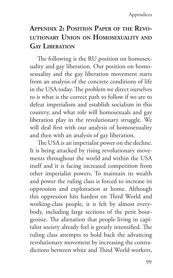# **Appendix 2: Position Paper of the Revolutionary Union on Homosexuality and Gay Liberation**

The following is the RU position on homosexuality and gay liberation. Our position on homosexuality and the gay liberation movement starts from an analysis of the concrete conditions of life in the USA today. The problem we direct ourselves to is what is the correct path to follow if we are to defeat imperialism and establish socialism in this country, and what role will homosexuals and gay liberation play in the revolutionary struggle. We will deal first with our analysis of homosexuality and then with an analysis of gay liberation.

The USA is an imperialist power on the decline. It is being attacked by rising revolutionary movements throughout the world and within the USA itself and it is facing increased competition from other imperialist powers. To maintain its wealth and power the ruling class is forced to increase its oppression and exploitation at home. Although this oppression hits hardest on Third World and working-class people, it is felt by almost everybody, including large sections of the petit bourgeoisie. The alienation that people living in capitalist society already feel is greatly intensified. The ruling class attempts to hold back the advancing revolutionary movement by increasing the contradictions between white and Third World workers,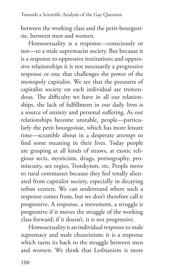between the working class and the petit-bourgeoisie, between men and women.

Homosexuality is a response—consciously or not—to a male supremacist society. But because it is a response to oppressive institutions and oppressive relationships it is not necessarily a progressive response or one that challenges the power of the monopoly capitalist. We see that the pressures of capitalist society on each individual are tremendous. The difficulty we have in all our relationships, the lack of fulfillment in our daily lives is a source of anxiety and personal suffering. As our relationships become unstable, people—particularly the petit bourgeoisie, which has more leisure time—scramble about in a desperate attempt to find some meaning in their lives. Today people are grasping at all kinds of straws, at exotic religious sects, mysticism, drugs, pornography, promiscuity, sex orgies, Trotskyism, etc. People move to rural communes because they feel totally alienated from capitalist society, especially in decaying urban centers. We can understand where such a response comes from, but we don't therefore call it progressive. A response, a movement, a struggle is progressive if it moves the struggle of the working class forward; if it doesn't, it is not progressive.

Homosexuality is an individual response to male supremacy and male chauvinism; it is a response which turns its back to the struggle between men and women. We think that Lesbianism is more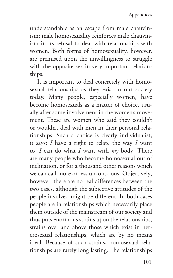understandable as an escape from male chauvinism; male homosexuality reinforces male chauvinism in its refusal to deal with relationships with women. Both forms of homosexuality, however, are premised upon the unwillingness to struggle with the opposite sex in very important relationships.

It is important to deal concretely with homosexual relationships as they exist in our society today. Many people, especially women, have become homosexuals as a matter of choice, usually after some involvement in the women's movement. These are women who said they couldn't or wouldn't deal with men in their personal relationships. Such a choice is clearly individualist; it says: *I* have a right to relate the way *I* want to, *I* can do what *I* want with *my* body. There are many people who become homosexual out of inclination, or for a thousand other reasons which we can call more or less unconscious. Objectively, however, there are no real differences between the two cases, although the subjective attitudes of the people involved might be different. In both cases people are in relationships which necessarily place them outside of the mainstream of our society and thus puts enormous strains upon the relationships, strains over and above those which exist in heterosexual relationships, which are by no means ideal. Because of such strains, homosexual relationships are rarely long lasting. The relationships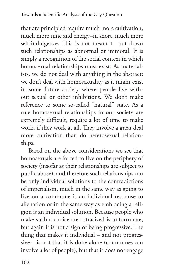that are principled require much more cultivation, much more time and energy–in short, much more self-indulgence. This is not meant to put down such relationships as abnormal or immoral. It is simply a recognition of the social context in which homosexual relationships must exist. As materialists, we do not deal with anything in the abstract; we don't deal with homosexuality as it might exist in some future society where people live without sexual or other inhibitions. We don't make reference to some so-called "natural" state. As a rule homosexual relationships in our society are extremely difficult, require a lot of time to make work, if they work at all. They involve a great deal more cultivation than do heterosexual relationships.

Based on the above considerations we see that homosexuals are forced to live on the periphery of society (insofar as their relationships are subject to public abuse), and therefore such relationships can be only individual solutions to the contradictions of imperialism, much in the same way as going to live on a commune is an individual response to alienation or in the same way as embracing a religion is an individual solution. Because people who make such a choice are ostracized is unfortunate, but again it is not a sign of being progressive. The thing that makes it individual – and not progressive – is not that it is done alone (communes can involve a lot of people), but that it does not engage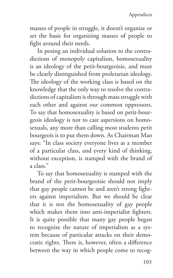masses of people in struggle, it doesn't organize or set the basis for organizing masses of people to fight around their needs.

In posing an individual solution to the contradictions of monopoly capitalism, homosexuality is an ideology of the petit-bourgeoisie, and must be clearly distinguished from proletarian ideology. The ideology of the working class is based on the knowledge that the only way to resolve the contradictions of capitalism is through mass struggle with each other and against our common oppressors. To say that homosexuality is based on petit-bourgeois ideology is not to cast aspersions on homosexuals, any more than calling most students petit bourgeois is to put them down. As Chairman Mao says: "In class society everyone lives as a member of a particular class, and every kind of thinking, without exception, is stamped with the brand of a class."

To say that homosexuality is stamped with the brand of the petit-bourgeoisie should not imply that gay people cannot be and aren't strong fighters against imperialism. But we should be clear that it is not the homosexuality of gay people which makes them into anti-imperialist fighters. It is quite possible that many gay people began to recognize the nature of imperialism as a system because of particular attacks on their democratic rights. There is, however, often a difference between the way in which people come to recog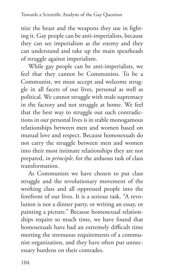nize the beast and the weapons they use in fighting it. Gay people can be anti-imperialists, because they can see imperialism as the enemy and they can understand and take up the main spearheads of struggle against imperialism.

While gay people can be anti-imperialists, we feel that they cannot be Communists. To be a Communist, we must accept and welcome struggle in all facets of our lives, personal as well as political. We cannot struggle with male supremacy in the factory and not struggle at home. We feel that the best way to struggle out such contradictions in our personal lives is in stable monogamous relationships between men and women based on mutual love and respect. Because homosexuals do not carry the struggle between men and women into their most intimate relationships they are not prepared, *in principle*, for the arduous task of class transformation.

As Communists we have chosen to put class struggle and the revolutionary movement of the working class and all oppressed people into the forefront of our lives. It is a serious task. "A revolution is not a dinner party, or writing an essay, or painting a picture." Because homosexual relationships require so much time, we have found that homosexuals have had an extremely difficult time meeting the strenuous requirements of a communist organization, and they have often put unnecessary burdens on their comrades.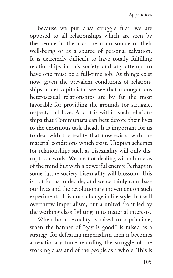Because we put class struggle first, we are opposed to all relationships which are seen by the people in them as the main source of their well-being or as a source of personal salvation. It is extremely difficult to have totally fulfilling relationships in this society and any attempt to have one must be a full-time job. As things exist now, given the prevalent conditions of relationships under capitalism, we see that monogamous heterosexual relationships are by far the most favorable for providing the grounds for struggle, respect, and love. And it is within such relationships that Communists can best devote their lives to the enormous task ahead. It is important for us to deal with the reality that now exists, with the material conditions which exist. Utopian schemes for relationships such as bisexuality will only disrupt our work. We are not dealing with chimeras of the mind but with a powerful enemy. Perhaps in some future society bisexuality will blossom. This is not for us to decide, and we certainly can't base our lives and the revolutionary movement on such experiments. It is not a change in life style that will overthrow imperialism, but a united front led by the working class fighting in its material interests.

When homosexuality is raised to a principle, when the banner of "gay is good" is raised as a strategy for defeating imperialism then it becomes a reactionary force retarding the struggle of the working class and of the people as a whole. This is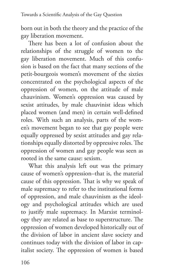born out in both the theory and the practice of the gay liberation movement.

There has been a lot of confusion about the relationships of the struggle of women to the gay liberation movement. Much of this confusion is based on the fact that many sections of the petit-bourgeois women's movement of the sixties concentrated on the psychological aspects of the oppression of women, on the attitude of male chauvinism. Women's oppression was caused by sexist attitudes, by male chauvinist ideas which placed women (and men) in certain well-defined roles. With such an analysis, parts of the women's movement began to see that gay people were equally oppressed by sexist attitudes and gay relationships equally distorted by oppressive roles. The oppression of women and gay people was seen as rooted in the same cause: sexism.

What this analysis left out was the primary cause of women's oppression–that is, the material cause of this oppression. That is why we speak of male supremacy to refer to the institutional forms of oppression, and male chauvinism as the ideology and psychological attitudes which are used to justify male supremacy. In Marxist terminology they are related as base to superstructure. The oppression of women developed historically out of the division of labor in ancient slave society and continues today with the division of labor in capitalist society. The oppression of women is based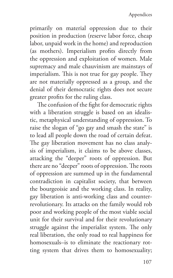primarily on material oppression due to their position in production (reserve labor force, cheap labor, unpaid work in the home) and reproduction (as mothers). Imperialism profits directly from the oppression and exploitation of women. Male supremacy and male chauvinism are mainstays of imperialism. This is not true for gay people. They are not materially oppressed as a group, and the denial of their democratic rights does not secure greater profits for the ruling class.

The confusion of the fight for democratic rights with a liberation struggle is based on an idealistic, metaphysical understanding of oppression. To raise the slogan of "go gay and smash the state" is to lead all people down the road of certain defeat. The gay liberation movement has no class analysis of imperialism, it claims to be above classes, attacking the "deeper" roots of oppression. But there are no "deeper" roots of oppression. The roots of oppression are summed up in the fundamental contradiction in capitalist society, that between the bourgeoisie and the working class. In reality, gay liberation is anti-working class and counterrevolutionary. Its attacks on the family would rob poor and working people of the most viable social unit for their survival and for their revolutionary struggle against the imperialist system. The only real liberation, the only road to real happiness for homosexuals–is to eliminate the reactionary rotting system that drives them to homosexuality;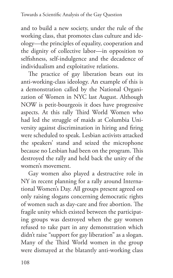and to build a new society, under the rule of the working class, that promotes class culture and ideology—the principles of equality, cooperation and the dignity of collective labor—in opposition to selfishness, self-indulgence and the decadence of individualism and exploitative relations.

The practice of gay liberation bears out its anti-working-class ideology. An example of this is a demonstration called by the National Organization of Women in NYC last August. Although NOW is petit-bourgeois it does have progressive aspects. At this rally Third World Women who had led the struggle of maids at Columbia University against discrimination in hiring and firing were scheduled to speak. Lesbian activists attacked the speakers' stand and seized the microphone because no Lesbian had been on the program. This destroyed the rally and held back the unity of the women's movement.

Gay women also played a destructive role in NY in recent planning for a rally around International Women's Day. All groups present agreed on only raising slogans concerning democratic rights of women such as day-care and free abortion. The fragile unity which existed between the participating groups was destroyed when the gay women refused to take part in any demonstration which didn't raise "support for gay liberation" as a slogan. Many of the Third World women in the group were dismayed at the blatantly anti-working class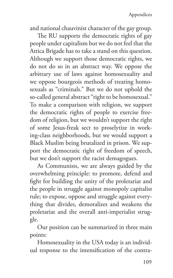and national chauvinist character of the gay group.

The RU supports the democratic rights of gay people under capitalism but we do not feel that the Attica Brigade has to take a stand on this question. Although we support those democratic rights, we do not do so in an abstract way. We oppose the arbitrary use of laws against homosexuality and we oppose bourgeois methods of treating homosexuals as "criminals." But we do not uphold the so-called general abstract "right to be homosexual." To make a comparison with religion, we support the democratic rights of people to exercise freedom of religion, but we wouldn't support the right of some Jesus-freak sect to proselytize in working-class neighborhoods, but we would support a Black Muslim being brutalized in prison. We support the democratic right of freedom of speech, but we don't support the racist demagogues.

As Communists, we are always guided by the overwhelming principle: to promote, defend and fight for building the unity of the proletariat and the people in struggle against monopoly capitalist rule; to expose, oppose and struggle against everything that divides, demoralizes and weakens the proletariat and the overall anti-imperialist struggle.

Our position can be summarized in three main points:

Homosexuality in the USA today is an individual response to the intensification of the contra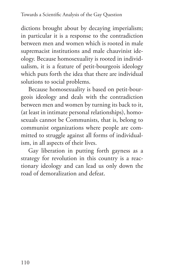dictions brought about by decaying imperialism; in particular it is a response to the contradiction between men and women which is rooted in male supremacist institutions and male chauvinist ideology. Because homosexuality is rooted in individualism, it is a feature of petit-bourgeois ideology which puts forth the idea that there are individual solutions to social problems.

Because homosexuality is based on petit-bourgeois ideology and deals with the contradiction between men and women by turning its back to it, (at least in intimate personal relationships), homosexuals cannot be Communists, that is, belong to communist organizations where people are committed to struggle against all forms of individualism, in all aspects of their lives.

Gay liberation in putting forth gayness as a strategy for revolution in this country is a reactionary ideology and can lead us only down the road of demoralization and defeat.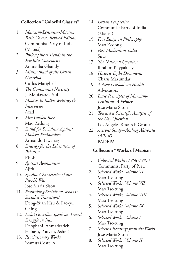## **Collection "Colorful Classics"**

- 1. *Marxism-Leninism-Maoism Basic Course: Revised Edition* Communist Party of India (Maoist)
- 2. *Philosophical Trends in the Feminist Movement* Anuradha Ghandy
- 3. *Minimanual of the Urban Guerrilla* Carlos Marighella
- 4. *The Communist Necessity* J. Moufawad-Paul
- 5. *Maoists in India: Writings & Interviews* Azad
- 6. *Five Golden Rays* Mao Zedong
- 7. *Stand for Socialism Against Modern Revisionism* Armando Liwanag
- 8. *Strategy for the Liberation of Palestine* PFLP
- 9. *Against Avakianism* Ajith
- 10. *Specific Characterics of our People's War* Jose Maria Sison
- 11. *Rethinking Socialism: What is Socialist Transition?* Deng-Yuan Hsu & Pao-yu Ching
- 12. *Fedai Guerillas Speak on Armed Struggle in Iran* Dehghani, Ahmadzadeh, Habash, Pouyan, Ashraf
- 13. *Revolutionary Works* Seamus Costello
- 14. *Urban Perspective* Communist Party of India (Maoist)
- 15. *Five Essays on Philosophy* Mao Zedong
- 16. *Post-Modernism Today* Siraj
- 17. *The National Question* Ibrahim Kaypakkaya
- 18. *Historic Eight Documents* Charu Mazumdar
- 19. *A New Outlook on Health* Advocators
- 20. *Basic Principles of Marxism-Leninism: A Primer* Jose Maria Sison
- 21. *Toward a Scientific Analysis of the Gay Question* Los Angeles Research Group
- 22. *Activist Study-Araling Aktibista (ARAK)* PADEPA

## **Collection "Works of Maoism"**

- 1. *Collected Works (1968-1987)* Communist Party of Peru
- 2. *Selected Works, Volume VI* Mao Tse-tung
- 3. *Selected Works, Volume VII* Mao Tse-tung
- 4. *Selected Works, Volume VIII* Mao Tse-tung
- 5. *Selected Works, Volume IX* Mao Tse-tung
- 6. *Selected Works, Volume I* Mao Tse-tung
- 7. *Selected Readings from the Works* Jose Maria Sison
- 8. *Selected Works, Volume II* Mao Tse-tung